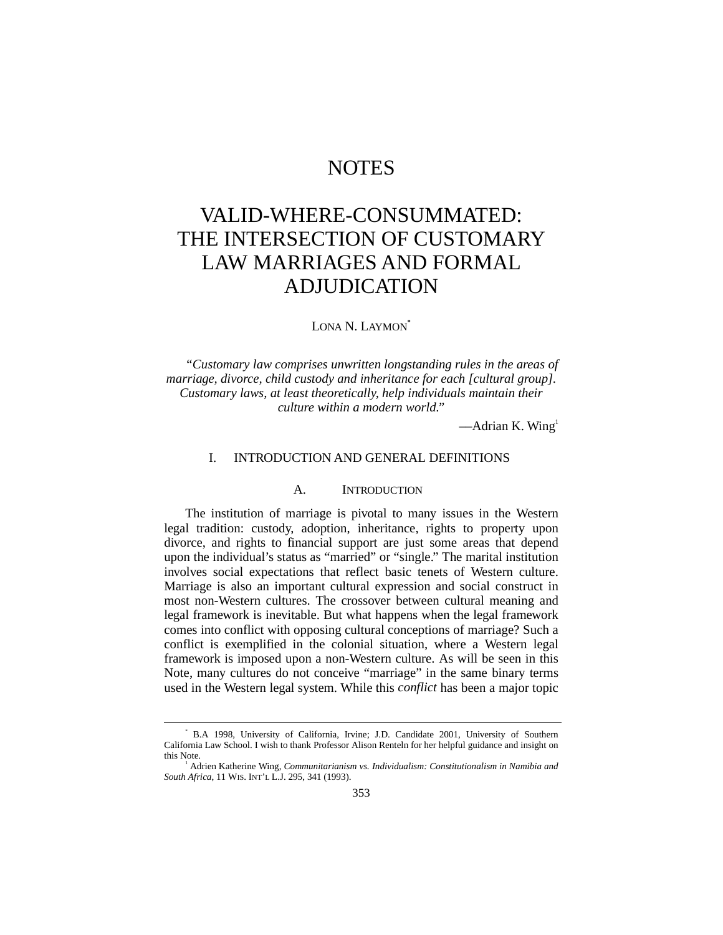# **NOTES**

# VALID-WHERE-CONSUMMATED: THE INTERSECTION OF CUSTOMARY LAW MARRIAGES AND FORMAL ADJUDICATION

LONA N. LAYMON<sup>\*</sup>

*"Customary law comprises unwritten longstanding rules in the areas of marriage, divorce, child custody and inheritance for each [cultural group]. Customary laws, at least theoretically, help individuals maintain their culture within a modern world."*

 $—$ Adrian K. Wing<sup>1</sup>

#### I. INTRODUCTION AND GENERAL DEFINITIONS

#### A. INTRODUCTION

The institution of marriage is pivotal to many issues in the Western legal tradition: custody, adoption, inheritance, rights to property upon divorce, and rights to financial support are just some areas that depend upon the individual's status as "married" or "single." The marital institution involves social expectations that reflect basic tenets of Western culture. Marriage is also an important cultural expression and social construct in most non-Western cultures. The crossover between cultural meaning and legal framework is inevitable. But what happens when the legal framework comes into conflict with opposing cultural conceptions of marriage? Such a conflict is exemplified in the colonial situation, where a Western legal framework is imposed upon a non-Western culture. As will be seen in this Note, many cultures do not conceive "marriage" in the same binary terms used in the Western legal system. While this *conflict* has been a major topic

 $\overline{\phantom{a}}$  B.A 1998, University of California, Irvine; J.D. Candidate 2001, University of Southern California Law School. I wish to thank Professor Alison Renteln for her helpful guidance and insight on this Note.

<sup>1</sup> Adrien Katherine Wing, *Communitarianism vs. Individualism: Constitutionalism in Namibia and South Africa*, 11 WIS. INT'L L.J. 295, 341 (1993).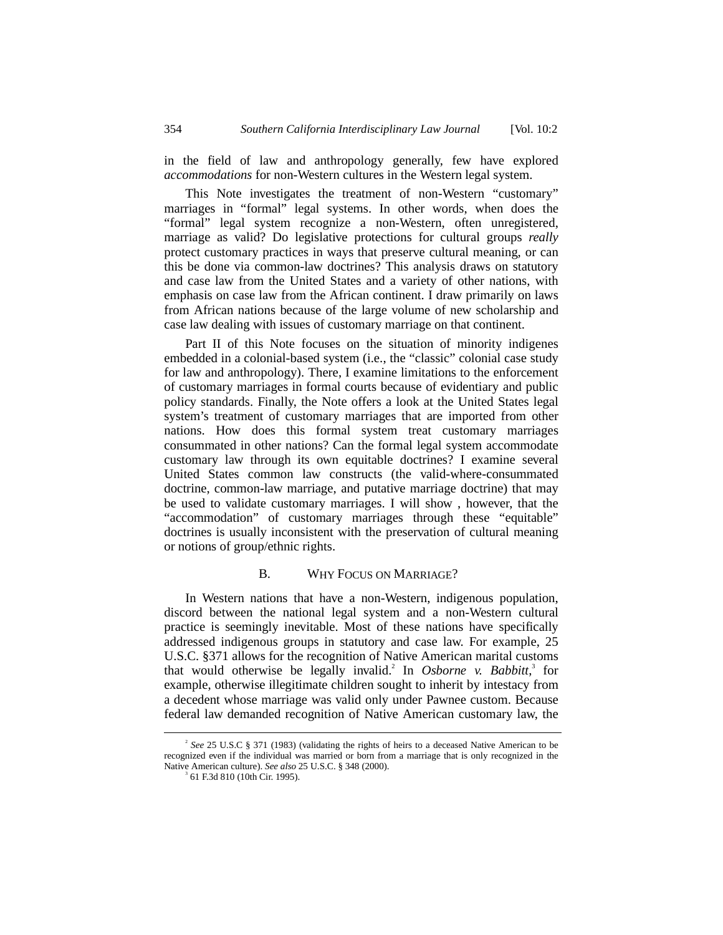in the field of law and anthropology generally, few have explored *accommodations* for non-Western cultures in the Western legal system.

This Note investigates the treatment of non-Western "customary" marriages in "formal" legal systems. In other words, when does the "formal" legal system recognize a non-Western, often unregistered, marriage as valid? Do legislative protections for cultural groups *really* protect customary practices in ways that preserve cultural meaning, or can this be done via common-law doctrines? This analysis draws on statutory and case law from the United States and a variety of other nations, with emphasis on case law from the African continent. I draw primarily on laws from African nations because of the large volume of new scholarship and case law dealing with issues of customary marriage on that continent.

Part II of this Note focuses on the situation of minority indigenes embedded in a colonial-based system (i.e., the "classic" colonial case study for law and anthropology). There, I examine limitations to the enforcement of customary marriages in formal courts because of evidentiary and public policy standards. Finally, the Note offers a look at the United States legal system's treatment of customary marriages that are imported from other nations. How does this formal system treat customary marriages consummated in other nations? Can the formal legal system accommodate customary law through its own equitable doctrines? I examine several United States common law constructs (the valid-where-consummated doctrine, common-law marriage, and putative marriage doctrine) that may be used to validate customary marriages. I will show , however, that the "accommodation" of customary marriages through these "equitable" doctrines is usually inconsistent with the preservation of cultural meaning or notions of group/ethnic rights.

#### B. WHY FOCUS ON MARRIAGE?

In Western nations that have a non-Western, indigenous population, discord between the national legal system and a non-Western cultural practice is seemingly inevitable. Most of these nations have specifically addressed indigenous groups in statutory and case law. For example, 25 U.S.C. §371 allows for the recognition of Native American marital customs that would otherwise be legally invalid.<sup>2</sup> In *Osborne v. Babbitt*,<sup>3</sup> for example, otherwise illegitimate children sought to inherit by intestacy from a decedent whose marriage was valid only under Pawnee custom. Because federal law demanded recognition of Native American customary law, the

 $\overline{\phantom{a}}$ <sup>2</sup> See 25 U.S.C § 371 (1983) (validating the rights of heirs to a deceased Native American to be recognized even if the individual was married or born from a marriage that is only recognized in the Native American culture). See also 25 U.S.C. § 348 (2000).

 <sup>61</sup> F.3d 810 (10th Cir. 1995).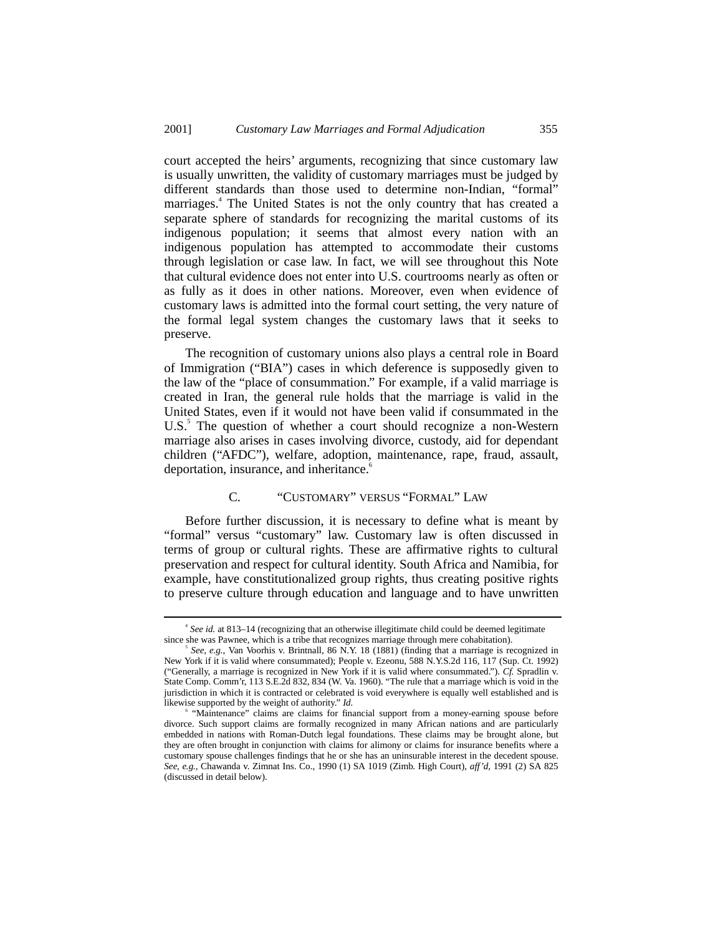court accepted the heirs' arguments, recognizing that since customary law is usually unwritten, the validity of customary marriages must be judged by different standards than those used to determine non-Indian, "formal" marriages.4 The United States is not the only country that has created a separate sphere of standards for recognizing the marital customs of its indigenous population; it seems that almost every nation with an indigenous population has attempted to accommodate their customs through legislation or case law. In fact, we will see throughout this Note that cultural evidence does not enter into U.S. courtrooms nearly as often or as fully as it does in other nations. Moreover, even when evidence of customary laws is admitted into the formal court setting, the very nature of the formal legal system changes the customary laws that it seeks to preserve.

The recognition of customary unions also plays a central role in Board of Immigration ("BIA") cases in which deference is supposedly given to the law of the "place of consummation." For example, if a valid marriage is created in Iran, the general rule holds that the marriage is valid in the United States, even if it would not have been valid if consummated in the U.S.<sup>5</sup> The question of whether a court should recognize a non-Western marriage also arises in cases involving divorce, custody, aid for dependant children ("AFDC"), welfare, adoption, maintenance, rape, fraud, assault, deportation, insurance, and inheritance.<sup>6</sup>

# C. "CUSTOMARY" VERSUS "FORMAL" LAW

Before further discussion, it is necessary to define what is meant by "formal" versus "customary" law. Customary law is often discussed in terms of group or cultural rights. These are affirmative rights to cultural preservation and respect for cultural identity. South Africa and Namibia, for example, have constitutionalized group rights, thus creating positive rights to preserve culture through education and language and to have unwritten

 $\overline{\phantom{a}}$ *See id.* at 813–14 (recognizing that an otherwise illegitimate child could be deemed legitimate since she was Pawnee, which is a tribe that recognizes marriage through mere cohabitation).

*See, e.g.*, Van Voorhis v. Brintnall, 86 N.Y. 18 (1881) (finding that a marriage is recognized in New York if it is valid where consummated); People v. Ezeonu, 588 N.Y.S.2d 116, 117 (Sup. Ct. 1992) ("Generally, a marriage is recognized in New York if it is valid where consummated."). *Cf.* Spradlin v. State Comp. Comm'r, 113 S.E.2d 832, 834 (W. Va. 1960). "The rule that a marriage which is void in the jurisdiction in which it is contracted or celebrated is void everywhere is equally well established and is likewise supported by the weight of authority." *Id.*

<sup>6</sup> "Maintenance" claims are claims for financial support from a money-earning spouse before divorce. Such support claims are formally recognized in many African nations and are particularly embedded in nations with Roman-Dutch legal foundations. These claims may be brought alone, but they are often brought in conjunction with claims for alimony or claims for insurance benefits where a customary spouse challenges findings that he or she has an uninsurable interest in the decedent spouse. *See, e.g.*, Chawanda v. Zimnat Ins. Co., 1990 (1) SA 1019 (Zimb. High Court), *aff'd*, 1991 (2) SA 825 (discussed in detail below).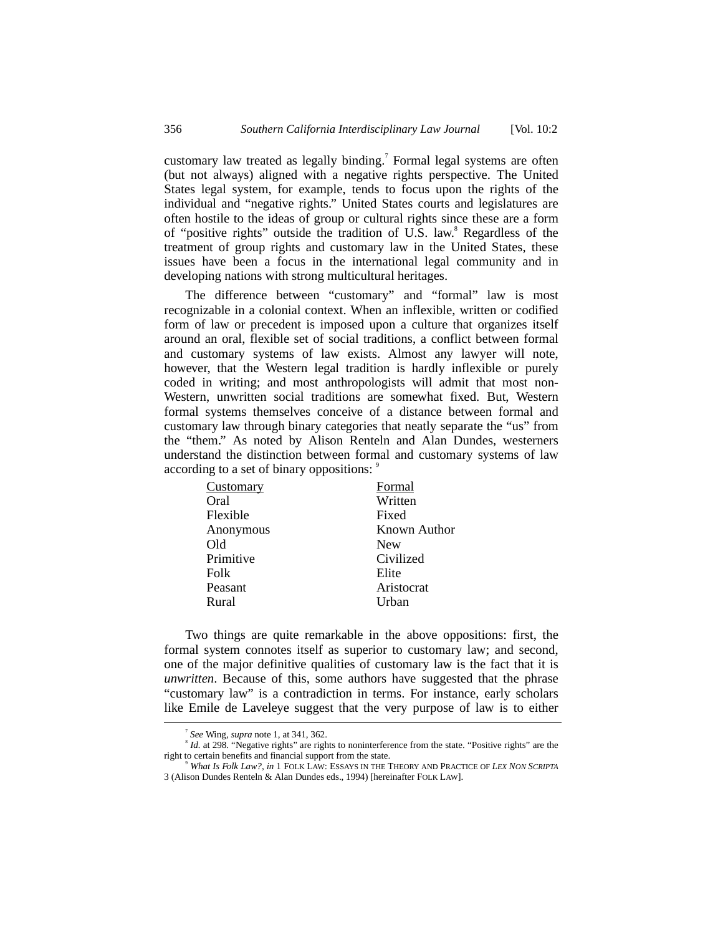customary law treated as legally binding.<sup>7</sup> Formal legal systems are often (but not always) aligned with a negative rights perspective. The United States legal system, for example, tends to focus upon the rights of the individual and "negative rights." United States courts and legislatures are often hostile to the ideas of group or cultural rights since these are a form of "positive rights" outside the tradition of U.S. law.<sup>8</sup> Regardless of the treatment of group rights and customary law in the United States, these issues have been a focus in the international legal community and in developing nations with strong multicultural heritages.

The difference between "customary" and "formal" law is most recognizable in a colonial context. When an inflexible, written or codified form of law or precedent is imposed upon a culture that organizes itself around an oral, flexible set of social traditions, a conflict between formal and customary systems of law exists. Almost any lawyer will note, however, that the Western legal tradition is hardly inflexible or purely coded in writing; and most anthropologists will admit that most non-Western, unwritten social traditions are somewhat fixed. But, Western formal systems themselves conceive of a distance between formal and customary law through binary categories that neatly separate the "us" from the "them." As noted by Alison Renteln and Alan Dundes, westerners understand the distinction between formal and customary systems of law according to a set of binary oppositions:

| Customary | Formal       |
|-----------|--------------|
| Oral      | Written      |
| Flexible  | Fixed        |
| Anonymous | Known Author |
| Old       | <b>New</b>   |
| Primitive | Civilized    |
| Folk      | Elite        |
| Peasant   | Aristocrat   |
| Rural     | Urban        |

Two things are quite remarkable in the above oppositions: first, the formal system connotes itself as superior to customary law; and second, one of the major definitive qualities of customary law is the fact that it is *unwritten*. Because of this, some authors have suggested that the phrase "customary law" is a contradiction in terms. For instance, early scholars like Emile de Laveleye suggest that the very purpose of law is to either

 $\overline{\phantom{a}}$ *See* Wing, *supra* note 1, at 341, 362.

<sup>&</sup>lt;sup>8</sup> Id. at 298. "Negative rights" are rights to noninterference from the state. "Positive rights" are the right to certain benefits and financial support from the state.

<sup>9</sup> *What Is Folk Law?*, *in* 1 FOLK LAW: ESSAYS IN THE THEORY AND PRACTICE OF *LEX NON SCRIPTA* 3 (Alison Dundes Renteln & Alan Dundes eds., 1994) [hereinafter FOLK LAW].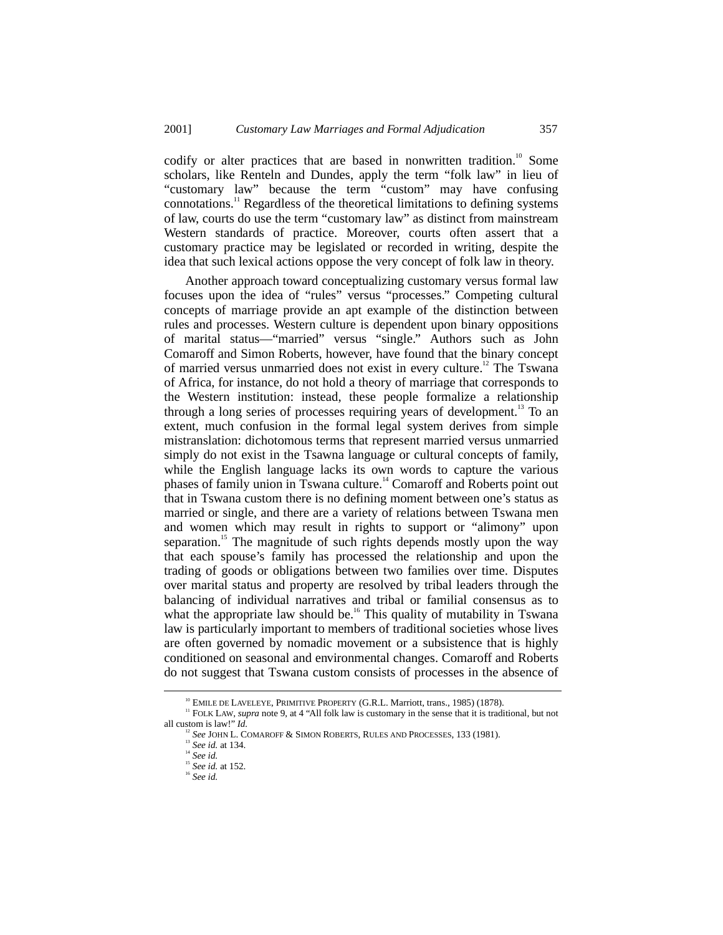codify or alter practices that are based in nonwritten tradition.<sup>10</sup> Some scholars, like Renteln and Dundes, apply the term "folk law" in lieu of "customary law" because the term "custom" may have confusing connotations.11 Regardless of the theoretical limitations to defining systems of law, courts do use the term "customary law" as distinct from mainstream Western standards of practice. Moreover, courts often assert that a customary practice may be legislated or recorded in writing, despite the idea that such lexical actions oppose the very concept of folk law in theory.

Another approach toward conceptualizing customary versus formal law focuses upon the idea of "rules" versus "processes." Competing cultural concepts of marriage provide an apt example of the distinction between rules and processes. Western culture is dependent upon binary oppositions of marital status—"married" versus "single." Authors such as John Comaroff and Simon Roberts, however, have found that the binary concept of married versus unmarried does not exist in every culture.<sup>12</sup> The Tswana of Africa, for instance, do not hold a theory of marriage that corresponds to the Western institution: instead, these people formalize a relationship through a long series of processes requiring years of development.<sup>13</sup> To an extent, much confusion in the formal legal system derives from simple mistranslation: dichotomous terms that represent married versus unmarried simply do not exist in the Tsawna language or cultural concepts of family, while the English language lacks its own words to capture the various phases of family union in Tswana culture.<sup>14</sup> Comaroff and Roberts point out that in Tswana custom there is no defining moment between one's status as married or single, and there are a variety of relations between Tswana men and women which may result in rights to support or "alimony" upon separation.<sup>15</sup> The magnitude of such rights depends mostly upon the way that each spouse's family has processed the relationship and upon the trading of goods or obligations between two families over time. Disputes over marital status and property are resolved by tribal leaders through the balancing of individual narratives and tribal or familial consensus as to what the appropriate law should be.<sup>16</sup> This quality of mutability in Tswana law is particularly important to members of traditional societies whose lives are often governed by nomadic movement or a subsistence that is highly conditioned on seasonal and environmental changes. Comaroff and Roberts do not suggest that Tswana custom consists of processes in the absence of

<sup>&</sup>lt;sup>10</sup> EMILE DE LAVELEYE, PRIMITIVE PROPERTY (G.R.L. Marriott, trans., 1985) (1878).

<sup>&</sup>lt;sup>11</sup> FOLK LAW, *supra* note 9, at 4 "All folk law is customary in the sense that it is traditional, but not all custom is law!" *Id.* 

<sup>&</sup>lt;sup>12</sup> See JOHN L. COMAROFF & SIMON ROBERTS, RULES AND PROCESSES, 133 (1981).

<sup>13</sup> *See id.* at 134. <sup>14</sup> *See id.*

<sup>15</sup> *See id.* at 152. <sup>16</sup> *See id.*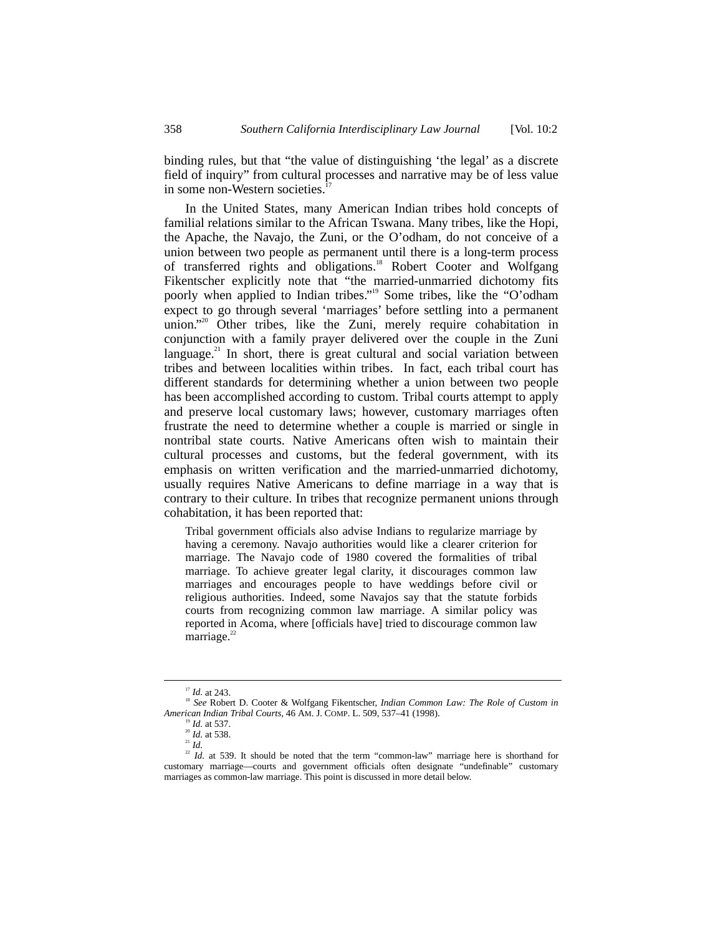binding rules, but that "the value of distinguishing 'the legal' as a discrete field of inquiry" from cultural processes and narrative may be of less value in some non-Western societies.<sup>1</sup>

In the United States, many American Indian tribes hold concepts of familial relations similar to the African Tswana. Many tribes, like the Hopi, the Apache, the Navajo, the Zuni, or the O'odham, do not conceive of a union between two people as permanent until there is a long-term process of transferred rights and obligations.<sup>18</sup> Robert Cooter and Wolfgang Fikentscher explicitly note that "the married-unmarried dichotomy fits poorly when applied to Indian tribes."<sup>19</sup> Some tribes, like the "O'odham expect to go through several 'marriages' before settling into a permanent union."<sup>20</sup> Other tribes, like the Zuni, merely require cohabitation in conjunction with a family prayer delivered over the couple in the Zuni language.<sup>21</sup> In short, there is great cultural and social variation between tribes and between localities within tribes. In fact, each tribal court has different standards for determining whether a union between two people has been accomplished according to custom. Tribal courts attempt to apply and preserve local customary laws; however, customary marriages often frustrate the need to determine whether a couple is married or single in nontribal state courts. Native Americans often wish to maintain their cultural processes and customs, but the federal government, with its emphasis on written verification and the married-unmarried dichotomy, usually requires Native Americans to define marriage in a way that is contrary to their culture. In tribes that recognize permanent unions through cohabitation, it has been reported that:

Tribal government officials also advise Indians to regularize marriage by having a ceremony. Navajo authorities would like a clearer criterion for marriage. The Navajo code of 1980 covered the formalities of tribal marriage. To achieve greater legal clarity, it discourages common law marriages and encourages people to have weddings before civil or religious authorities. Indeed, some Navajos say that the statute forbids courts from recognizing common law marriage. A similar policy was reported in Acoma, where [officials have] tried to discourage common law marriage.<sup>22</sup>

<sup>&</sup>lt;sup>17</sup> *Id.* at 243.<br><sup>18</sup> *See* Robert D. Cooter & Wolfgang Fikentscher, *Indian Common Law: The Role of Custom in American Indian Tribal Courts*, 46 AM. J. COMP. L. 509, 537–41 (1998).<br><sup>19</sup> *Id.* at 537. <sup>20</sup> *Id.* at 538.

 $^{21}$  *Id.* 

 $22$  *Id.* at 539. It should be noted that the term "common-law" marriage here is shorthand for customary marriage—courts and government officials often designate "undefinable" customary marriages as common-law marriage. This point is discussed in more detail below.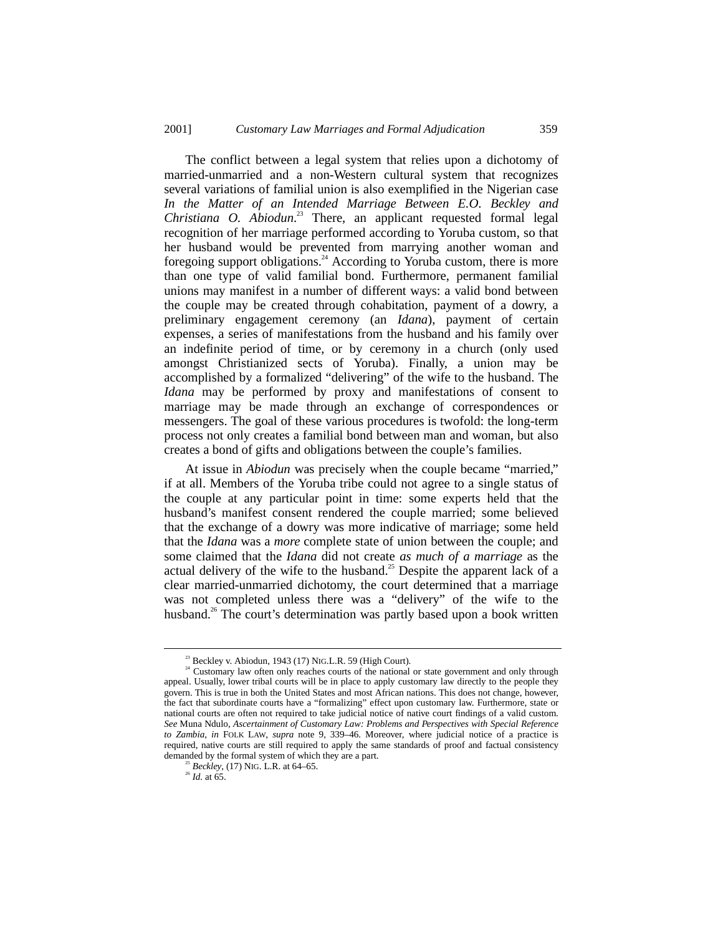The conflict between a legal system that relies upon a dichotomy of married-unmarried and a non-Western cultural system that recognizes several variations of familial union is also exemplified in the Nigerian case *In the Matter of an Intended Marriage Between E.O. Beckley and Christiana O. Abiodun*. 23 There, an applicant requested formal legal recognition of her marriage performed according to Yoruba custom, so that her husband would be prevented from marrying another woman and foregoing support obligations.<sup>24</sup> According to Yoruba custom, there is more than one type of valid familial bond. Furthermore, permanent familial unions may manifest in a number of different ways: a valid bond between the couple may be created through cohabitation, payment of a dowry, a preliminary engagement ceremony (an *Idana*), payment of certain expenses, a series of manifestations from the husband and his family over an indefinite period of time, or by ceremony in a church (only used amongst Christianized sects of Yoruba). Finally, a union may be accomplished by a formalized "delivering" of the wife to the husband. The *Idana* may be performed by proxy and manifestations of consent to marriage may be made through an exchange of correspondences or messengers. The goal of these various procedures is twofold: the long-term process not only creates a familial bond between man and woman, but also creates a bond of gifts and obligations between the couple's families.

At issue in *Abiodun* was precisely when the couple became "married," if at all. Members of the Yoruba tribe could not agree to a single status of the couple at any particular point in time: some experts held that the husband's manifest consent rendered the couple married; some believed that the exchange of a dowry was more indicative of marriage; some held that the *Idana* was a *more* complete state of union between the couple; and some claimed that the *Idana* did not create *as much of a marriage* as the actual delivery of the wife to the husband.<sup>25</sup> Despite the apparent lack of a clear married-unmarried dichotomy, the court determined that a marriage was not completed unless there was a "delivery" of the wife to the husband.<sup>26</sup> The court's determination was partly based upon a book written

<sup>&</sup>lt;sup>23</sup> Beckley v. Abiodun, 1943 (17) NIG.L.R. 59 (High Court).  $24$  Customary law often only reaches courts of the national or state government and only through appeal. Usually, lower tribal courts will be in place to apply customary law directly to the people they govern. This is true in both the United States and most African nations. This does not change, however, the fact that subordinate courts have a "formalizing" effect upon customary law. Furthermore, state or national courts are often not required to take judicial notice of native court findings of a valid custom. *See* Muna Ndulo, *Ascertainment of Customary Law: Problems and Perspectives with Special Reference to Zambia*, *in* FOLK LAW, *supra* note 9, 339–46. Moreover, where judicial notice of a practice is required, native courts are still required to apply the same standards of proof and factual consistency demanded by the formal system of which they are a part.

<sup>25</sup> *Beckley*, (17) NIG. L.R. at 64–65. <sup>26</sup> *Id.* at 65.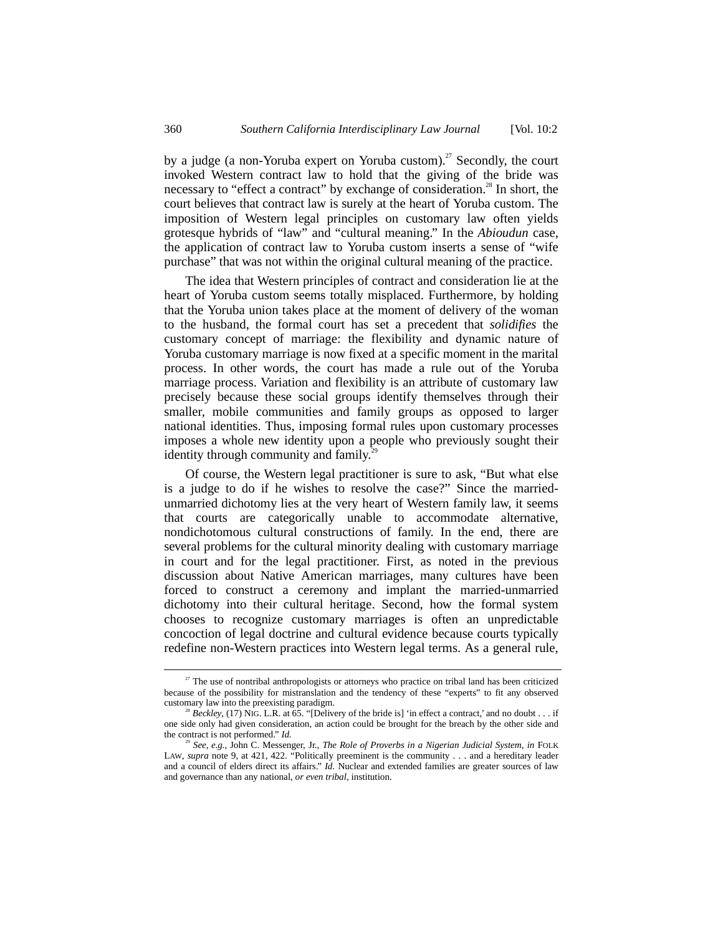by a judge (a non-Yoruba expert on Yoruba custom).<sup>27</sup> Secondly, the court invoked Western contract law to hold that the giving of the bride was necessary to "effect a contract" by exchange of consideration.<sup>28</sup> In short, the court believes that contract law is surely at the heart of Yoruba custom. The imposition of Western legal principles on customary law often yields grotesque hybrids of "law" and "cultural meaning." In the *Abioudun* case, the application of contract law to Yoruba custom inserts a sense of "wife purchase" that was not within the original cultural meaning of the practice.

The idea that Western principles of contract and consideration lie at the heart of Yoruba custom seems totally misplaced. Furthermore, by holding that the Yoruba union takes place at the moment of delivery of the woman to the husband, the formal court has set a precedent that *solidifies* the customary concept of marriage: the flexibility and dynamic nature of Yoruba customary marriage is now fixed at a specific moment in the marital process. In other words, the court has made a rule out of the Yoruba marriage process. Variation and flexibility is an attribute of customary law precisely because these social groups identify themselves through their smaller, mobile communities and family groups as opposed to larger national identities. Thus, imposing formal rules upon customary processes imposes a whole new identity upon a people who previously sought their identity through community and family. $2<sup>2</sup>$ 

Of course, the Western legal practitioner is sure to ask, "But what else is a judge to do if he wishes to resolve the case?" Since the marriedunmarried dichotomy lies at the very heart of Western family law, it seems that courts are categorically unable to accommodate alternative, nondichotomous cultural constructions of family. In the end, there are several problems for the cultural minority dealing with customary marriage in court and for the legal practitioner. First, as noted in the previous discussion about Native American marriages, many cultures have been forced to construct a ceremony and implant the married-unmarried dichotomy into their cultural heritage. Second, how the formal system chooses to recognize customary marriages is often an unpredictable concoction of legal doctrine and cultural evidence because courts typically redefine non-Western practices into Western legal terms. As a general rule,

<sup>&</sup>lt;sup>27</sup> The use of nontribal anthropologists or attorneys who practice on tribal land has been criticized because of the possibility for mistranslation and the tendency of these "experts" to fit any observed customary law into the preexisting paradigm.

Beckley, (17) NIG. L.R. at 65. "[Delivery of the bride is] 'in effect a contract,' and no doubt . . . if one side only had given consideration, an action could be brought for the breach by the other side and the contract is not performed." *Id.*

<sup>29</sup> *See, e.g.*, John C. Messenger, Jr., *The Role of Proverbs in a Nigerian Judicial System*, *in* FOLK LAW, *supra* note 9, at 421, 422. "Politically preeminent is the community . . . and a hereditary leader and a council of elders direct its affairs." *Id.* Nuclear and extended families are greater sources of law and governance than any national, *or even tribal*, institution.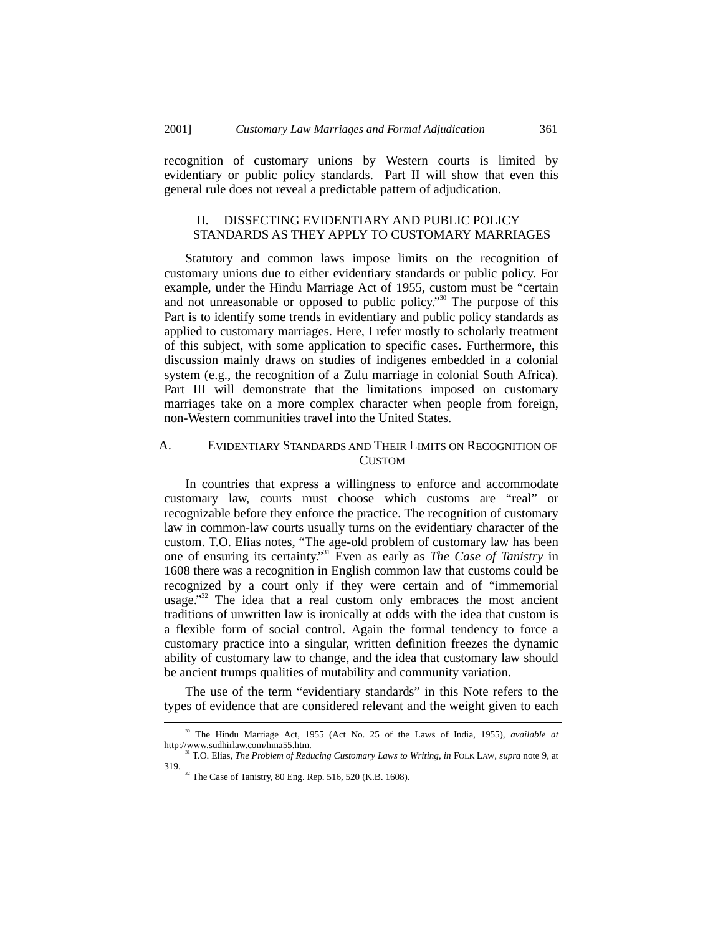recognition of customary unions by Western courts is limited by evidentiary or public policy standards. Part II will show that even this general rule does not reveal a predictable pattern of adjudication.

# II. DISSECTING EVIDENTIARY AND PUBLIC POLICY STANDARDS AS THEY APPLY TO CUSTOMARY MARRIAGES

Statutory and common laws impose limits on the recognition of customary unions due to either evidentiary standards or public policy. For example, under the Hindu Marriage Act of 1955, custom must be "certain and not unreasonable or opposed to public policy."<sup>30</sup> The purpose of this Part is to identify some trends in evidentiary and public policy standards as applied to customary marriages. Here, I refer mostly to scholarly treatment of this subject, with some application to specific cases. Furthermore, this discussion mainly draws on studies of indigenes embedded in a colonial system (e.g., the recognition of a Zulu marriage in colonial South Africa). Part III will demonstrate that the limitations imposed on customary marriages take on a more complex character when people from foreign, non-Western communities travel into the United States.

#### A. EVIDENTIARY STANDARDS AND THEIR LIMITS ON RECOGNITION OF CUSTOM

In countries that express a willingness to enforce and accommodate customary law, courts must choose which customs are "real" or recognizable before they enforce the practice. The recognition of customary law in common-law courts usually turns on the evidentiary character of the custom. T.O. Elias notes, "The age-old problem of customary law has been one of ensuring its certainty." 31 Even as early as *The Case of Tanistry* in 1608 there was a recognition in English common law that customs could be recognized by a court only if they were certain and of "immemorial usage."<sup>32</sup> The idea that a real custom only embraces the most ancient traditions of unwritten law is ironically at odds with the idea that custom is a flexible form of social control. Again the formal tendency to force a customary practice into a singular, written definition freezes the dynamic ability of customary law to change, and the idea that customary law should be ancient trumps qualities of mutability and community variation.

The use of the term "evidentiary standards" in this Note refers to the types of evidence that are considered relevant and the weight given to each

<sup>&</sup>lt;sup>30</sup> The Hindu Marriage Act, 1955 (Act No. 25 of the Laws of India, 1955), *available at* http://www.sudhirlaw.com/hma55.htm.

<sup>&</sup>lt;sup>31</sup> T.O. Elias, *The Problem of Reducing Customary Laws to Writing*, *in* FOLK LAW, *supra* note 9, at 319.

 $32$  The Case of Tanistry, 80 Eng. Rep. 516, 520 (K.B. 1608).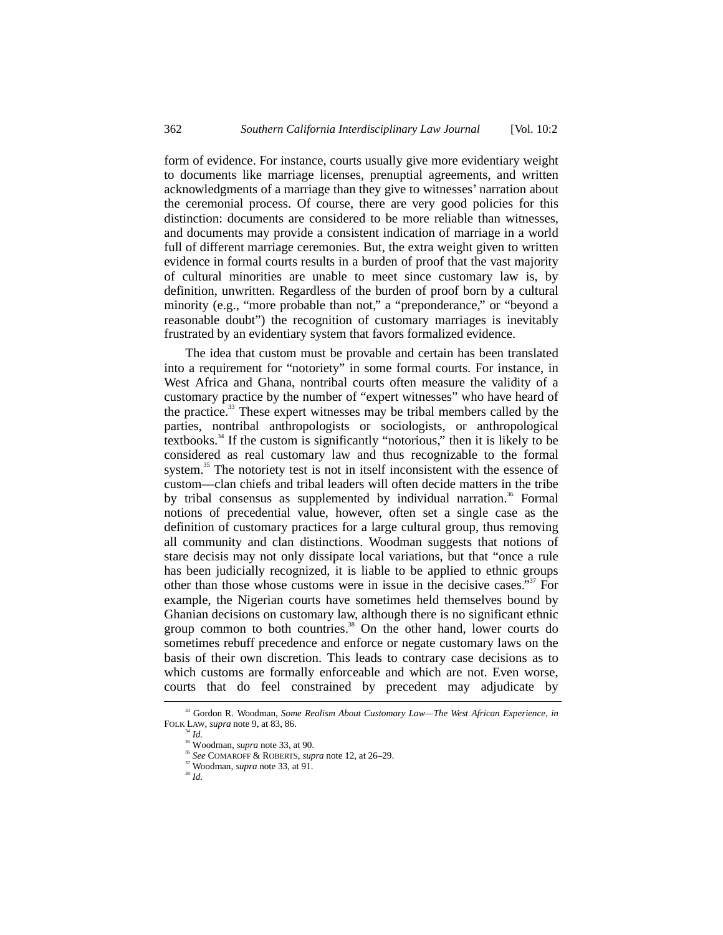form of evidence. For instance, courts usually give more evidentiary weight to documents like marriage licenses, prenuptial agreements, and written acknowledgments of a marriage than they give to witnesses' narration about the ceremonial process. Of course, there are very good policies for this distinction: documents are considered to be more reliable than witnesses, and documents may provide a consistent indication of marriage in a world full of different marriage ceremonies. But, the extra weight given to written evidence in formal courts results in a burden of proof that the vast majority of cultural minorities are unable to meet since customary law is, by definition, unwritten. Regardless of the burden of proof born by a cultural minority (e.g., "more probable than not," a "preponderance," or "beyond a reasonable doubt") the recognition of customary marriages is inevitably frustrated by an evidentiary system that favors formalized evidence.

The idea that custom must be provable and certain has been translated into a requirement for "notoriety" in some formal courts. For instance, in West Africa and Ghana, nontribal courts often measure the validity of a customary practice by the number of "expert witnesses" who have heard of the practice.<sup>33</sup> These expert witnesses may be tribal members called by the parties, nontribal anthropologists or sociologists, or anthropological textbooks.34 If the custom is significantly "notorious," then it is likely to be considered as real customary law and thus recognizable to the formal system.<sup>35</sup> The notoriety test is not in itself inconsistent with the essence of custom––clan chiefs and tribal leaders will often decide matters in the tribe by tribal consensus as supplemented by individual narration.<sup>36</sup> Formal notions of precedential value, however, often set a single case as the definition of customary practices for a large cultural group, thus removing all community and clan distinctions. Woodman suggests that notions of stare decisis may not only dissipate local variations, but that "once a rule has been judicially recognized, it is liable to be applied to ethnic groups other than those whose customs were in issue in the decisive cases."<sup>37</sup> For example, the Nigerian courts have sometimes held themselves bound by Ghanian decisions on customary law, although there is no significant ethnic group common to both countries.<sup>38</sup> On the other hand, lower courts do sometimes rebuff precedence and enforce or negate customary laws on the basis of their own discretion. This leads to contrary case decisions as to which customs are formally enforceable and which are not. Even worse, courts that do feel constrained by precedent may adjudicate by

 <sup>33</sup> Gordon R. Woodman, *Some Realism About Customary Law—The West African Experience*, *in* FOLK LAW, *supra* note 9, at 83, 86.<br><sup>34</sup> *Id.* <sup>35</sup> Woodman, *supra* note 33, at 90.

<sup>35</sup> Woodman, *supra* note 33, at 90. <sup>36</sup> *See* COMAROFF & ROBERTS, *supra* note 12, at 26–29.

<sup>&</sup>lt;sup>37</sup> Woodman, *supra* note 33, at 91.<br><sup>38</sup> *Id.*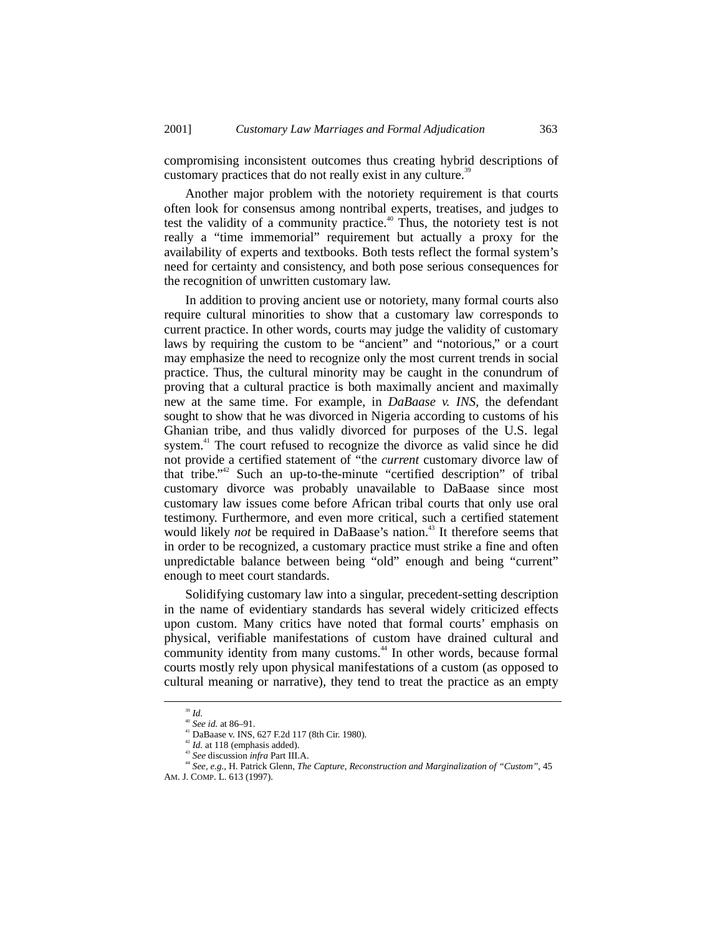compromising inconsistent outcomes thus creating hybrid descriptions of customary practices that do not really exist in any culture.<sup>39</sup>

Another major problem with the notoriety requirement is that courts often look for consensus among nontribal experts, treatises, and judges to test the validity of a community practice.<sup>40</sup> Thus, the notoriety test is not really a "time immemorial" requirement but actually a proxy for the availability of experts and textbooks. Both tests reflect the formal system's need for certainty and consistency, and both pose serious consequences for the recognition of unwritten customary law.

In addition to proving ancient use or notoriety, many formal courts also require cultural minorities to show that a customary law corresponds to current practice. In other words, courts may judge the validity of customary laws by requiring the custom to be "ancient" and "notorious," or a court may emphasize the need to recognize only the most current trends in social practice. Thus, the cultural minority may be caught in the conundrum of proving that a cultural practice is both maximally ancient and maximally new at the same time. For example, in *DaBaase v. INS*, the defendant sought to show that he was divorced in Nigeria according to customs of his Ghanian tribe, and thus validly divorced for purposes of the U.S. legal system.<sup>41</sup> The court refused to recognize the divorce as valid since he did not provide a certified statement of "the *current* customary divorce law of that tribe."<sup>42</sup> Such an up-to-the-minute "certified description" of tribal customary divorce was probably unavailable to DaBaase since most customary law issues come before African tribal courts that only use oral testimony. Furthermore, and even more critical, such a certified statement would likely *not* be required in DaBaase's nation.<sup>43</sup> It therefore seems that in order to be recognized, a customary practice must strike a fine and often unpredictable balance between being "old" enough and being "current" enough to meet court standards.

Solidifying customary law into a singular, precedent-setting description in the name of evidentiary standards has several widely criticized effects upon custom. Many critics have noted that formal courts' emphasis on physical, verifiable manifestations of custom have drained cultural and community identity from many customs.<sup>44</sup> In other words, because formal courts mostly rely upon physical manifestations of a custom (as opposed to cultural meaning or narrative), they tend to treat the practice as an empty

<sup>&</sup>lt;sup>39</sup> *Id.*<br><sup>40</sup> *See id.* at 86–91.

<sup>&</sup>lt;sup>41</sup> DaBaase v. INS, 627 F.2d 117 (8th Cir. 1980).<br><sup>42</sup> *Id.* at 118 (emphasis added).

<sup>&</sup>lt;sup>43</sup> See discussion *infra* Part III.A.

<sup>44</sup> *See, e.g.*, H. Patrick Glenn, *The Capture, Reconstruction and Marginalization of "Custom"*, 45 AM. J. COMP. L. 613 (1997).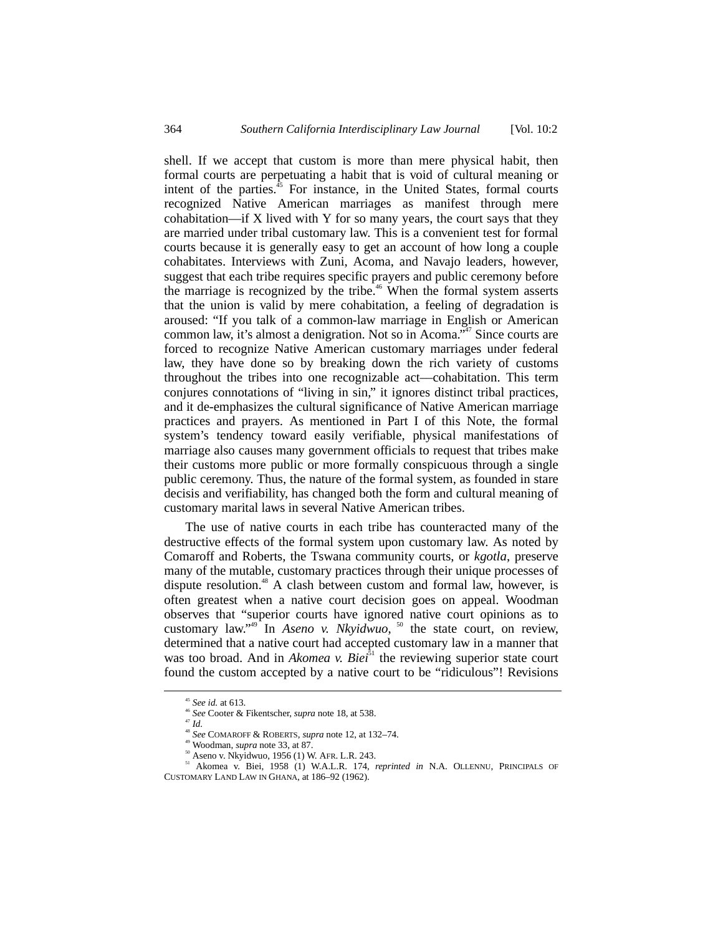shell. If we accept that custom is more than mere physical habit, then formal courts are perpetuating a habit that is void of cultural meaning or intent of the parties. $45$  For instance, in the United States, formal courts recognized Native American marriages as manifest through mere cohabitation—if X lived with Y for so many years, the court says that they are married under tribal customary law. This is a convenient test for formal courts because it is generally easy to get an account of how long a couple cohabitates. Interviews with Zuni, Acoma, and Navajo leaders, however, suggest that each tribe requires specific prayers and public ceremony before the marriage is recognized by the tribe.<sup> $46$ </sup> When the formal system asserts that the union is valid by mere cohabitation, a feeling of degradation is aroused: "If you talk of a common-law marriage in English or American common law, it's almost a denigration. Not so in Acoma." 47 Since courts are forced to recognize Native American customary marriages under federal law, they have done so by breaking down the rich variety of customs throughout the tribes into one recognizable act––cohabitation. This term conjures connotations of "living in sin," it ignores distinct tribal practices, and it de-emphasizes the cultural significance of Native American marriage practices and prayers. As mentioned in Part I of this Note, the formal system's tendency toward easily verifiable, physical manifestations of marriage also causes many government officials to request that tribes make their customs more public or more formally conspicuous through a single public ceremony. Thus, the nature of the formal system, as founded in stare decisis and verifiability, has changed both the form and cultural meaning of customary marital laws in several Native American tribes.

The use of native courts in each tribe has counteracted many of the destructive effects of the formal system upon customary law. As noted by Comaroff and Roberts, the Tswana community courts, or *kgotla*, preserve many of the mutable, customary practices through their unique processes of dispute resolution.<sup>48</sup> A clash between custom and formal law, however, is often greatest when a native court decision goes on appeal. Woodman observes that "superior courts have ignored native court opinions as to customary law."<sup>49</sup> In *Aseno v. Nkyidwuo*, <sup>50</sup> the state court, on review, determined that a native court had accepted customary law in a manner that was too broad. And in *Akomea v. Biei*<sup>51</sup> the reviewing superior state court found the custom accepted by a native court to be "ridiculous"! Revisions

 <sup>45</sup> *See id.* at 613.

<sup>46</sup> *See* Cooter & Fikentscher, *supra* note 18, at 538. <sup>47</sup> *Id.*

<sup>&</sup>lt;sup>48</sup> See COMAROFF & ROBERTS, *supra* note 12, at 132–74.<br><sup>49</sup> Woodman, *supra* note 33, at 87.

<sup>&</sup>lt;sup>50</sup> Aseno v. Nkyidwuo, 1956 (1) W. AFR. L.R. 243.

<sup>51</sup> Akomea v. Biei, 1958 (1) W.A.L.R. 174, *reprinted in* N.A. OLLENNU, PRINCIPALS OF CUSTOMARY LAND LAW IN GHANA, at 186–92 (1962).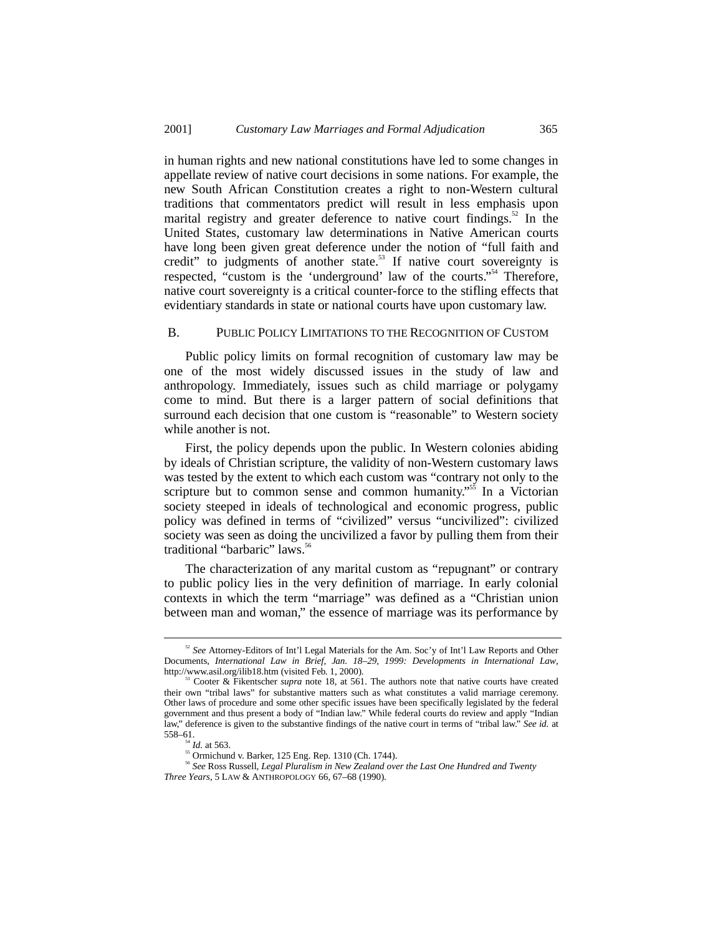in human rights and new national constitutions have led to some changes in appellate review of native court decisions in some nations. For example, the new South African Constitution creates a right to non-Western cultural traditions that commentators predict will result in less emphasis upon marital registry and greater deference to native court findings.<sup>52</sup> In the United States, customary law determinations in Native American courts have long been given great deference under the notion of "full faith and credit" to judgments of another state.<sup>53</sup> If native court sovereignty is respected, "custom is the 'underground' law of the courts."<sup>54</sup> Therefore, native court sovereignty is a critical counter-force to the stifling effects that evidentiary standards in state or national courts have upon customary law.

#### B. PUBLIC POLICY LIMITATIONS TO THE RECOGNITION OF CUSTOM

Public policy limits on formal recognition of customary law may be one of the most widely discussed issues in the study of law and anthropology. Immediately, issues such as child marriage or polygamy come to mind. But there is a larger pattern of social definitions that surround each decision that one custom is "reasonable" to Western society while another is not.

First, the policy depends upon the public. In Western colonies abiding by ideals of Christian scripture, the validity of non-Western customary laws was tested by the extent to which each custom was "contrary not only to the scripture but to common sense and common humanity."<sup>55</sup> In a Victorian society steeped in ideals of technological and economic progress, public policy was defined in terms of "civilized" versus "uncivilized": civilized society was seen as doing the uncivilized a favor by pulling them from their traditional "barbaric" laws.<sup>56</sup>

The characterization of any marital custom as "repugnant" or contrary to public policy lies in the very definition of marriage. In early colonial contexts in which the term "marriage" was defined as a "Christian union between man and woman," the essence of marriage was its performance by

 <sup>52</sup> *See* Attorney-Editors of Int'l Legal Materials for the Am. Soc'y of Int'l Law Reports and Other Documents, *International Law in Brief, Jan. 18–29, 1999: Developments in International Law*, http://www.asil.org/ilib18.htm (visited Feb. 1, 2000). 53 Cooter & Fikentscher *supra* note 18, at 561. The authors note that native courts have created

their own "tribal laws" for substantive matters such as what constitutes a valid marriage ceremony. Other laws of procedure and some other specific issues have been specifically legislated by the federal government and thus present a body of "Indian law." While federal courts do review and apply "Indian law," deference is given to the substantive findings of the native court in terms of "tribal law." *See id.* at 558–61.<br> $^{54}$  *Id.* at 563.

<sup>&</sup>lt;sup>55</sup> Ormichund v. Barker, 125 Eng. Rep. 1310 (Ch. 1744).

<sup>56</sup> *See* Ross Russell, *Legal Pluralism in New Zealand over the Last One Hundred and Twenty Three Years*, 5 LAW & ANTHROPOLOGY 66, 67–68 (1990).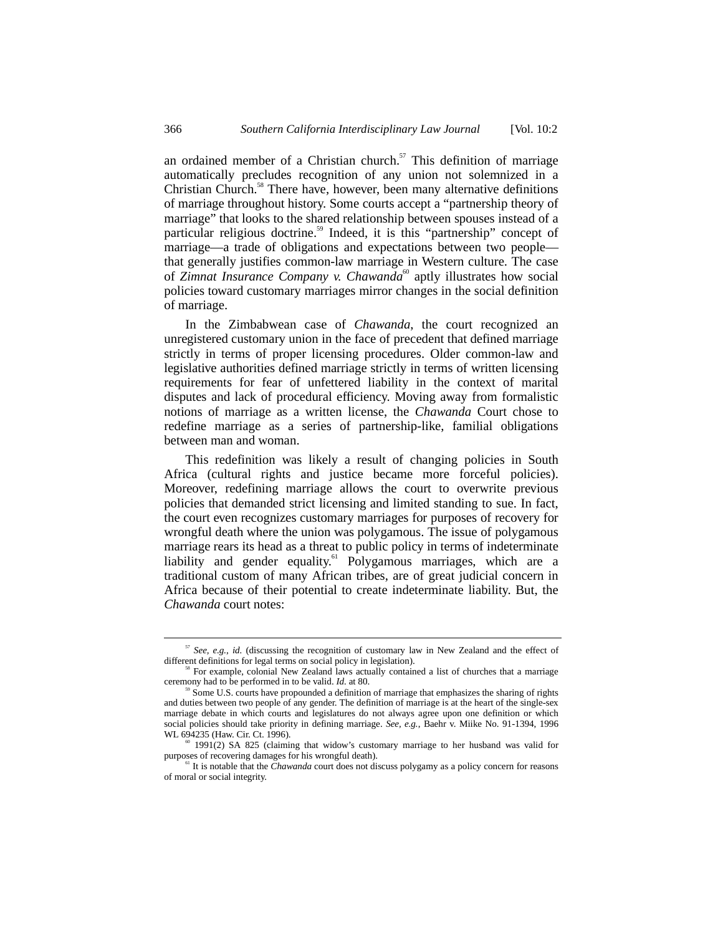an ordained member of a Christian church. $57$  This definition of marriage automatically precludes recognition of any union not solemnized in a Christian Church.<sup>58</sup> There have, however, been many alternative definitions of marriage throughout history. Some courts accept a "partnership theory of marriage" that looks to the shared relationship between spouses instead of a particular religious doctrine.<sup>59</sup> Indeed, it is this "partnership" concept of marriage—a trade of obligations and expectations between two people that generally justifies common-law marriage in Western culture. The case of *Zimnat Insurance Company v. Chawanda*<sup>60</sup> aptly illustrates how social policies toward customary marriages mirror changes in the social definition of marriage.

In the Zimbabwean case of *Chawanda*, the court recognized an unregistered customary union in the face of precedent that defined marriage strictly in terms of proper licensing procedures. Older common-law and legislative authorities defined marriage strictly in terms of written licensing requirements for fear of unfettered liability in the context of marital disputes and lack of procedural efficiency. Moving away from formalistic notions of marriage as a written license, the *Chawanda* Court chose to redefine marriage as a series of partnership-like, familial obligations between man and woman.

This redefinition was likely a result of changing policies in South Africa (cultural rights and justice became more forceful policies). Moreover, redefining marriage allows the court to overwrite previous policies that demanded strict licensing and limited standing to sue. In fact, the court even recognizes customary marriages for purposes of recovery for wrongful death where the union was polygamous. The issue of polygamous marriage rears its head as a threat to public policy in terms of indeterminate liability and gender equality.<sup>61</sup> Polygamous marriages, which are a traditional custom of many African tribes, are of great judicial concern in Africa because of their potential to create indeterminate liability. But, the *Chawanda* court notes:

 $57$  *See, e.g., id.* (discussing the recognition of customary law in New Zealand and the effect of different definitions for legal terms on social policy in legislation).

For example, colonial New Zealand laws actually contained a list of churches that a marriage ceremony had to be performed in to be valid. *Id.* at 80.

Some U.S. courts have propounded a definition of marriage that emphasizes the sharing of rights and duties between two people of any gender. The definition of marriage is at the heart of the single-sex marriage debate in which courts and legislatures do not always agree upon one definition or which social policies should take priority in defining marriage. *See, e.g.*, Baehr v. Miike No. 91-1394, 1996 WL 694235 (Haw. Cir. Ct. 1996).

 $60$  1991(2) SA 825 (claiming that widow's customary marriage to her husband was valid for purposes of recovering damages for his wrongful death).

<sup>&</sup>lt;sup>61</sup> It is notable that the *Chawanda* court does not discuss polygamy as a policy concern for reasons of moral or social integrity.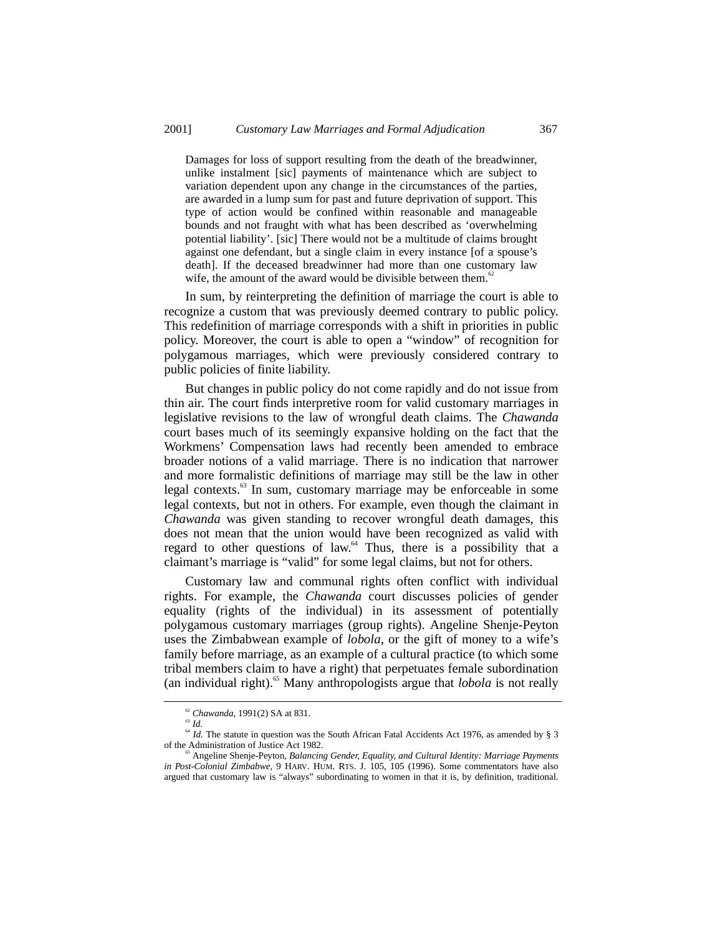Damages for loss of support resulting from the death of the breadwinner, unlike instalment [sic] payments of maintenance which are subject to variation dependent upon any change in the circumstances of the parties, are awarded in a lump sum for past and future deprivation of support. This type of action would be confined within reasonable and manageable bounds and not fraught with what has been described as 'overwhelming potential liability'. [sic] There would not be a multitude of claims brought against one defendant, but a single claim in every instance [of a spouse's death]. If the deceased breadwinner had more than one customary law wife, the amount of the award would be divisible between them. $62$ 

In sum, by reinterpreting the definition of marriage the court is able to recognize a custom that was previously deemed contrary to public policy. This redefinition of marriage corresponds with a shift in priorities in public policy. Moreover, the court is able to open a "window" of recognition for polygamous marriages, which were previously considered contrary to public policies of finite liability.

But changes in public policy do not come rapidly and do not issue from thin air. The court finds interpretive room for valid customary marriages in legislative revisions to the law of wrongful death claims. The *Chawanda* court bases much of its seemingly expansive holding on the fact that the Workmens' Compensation laws had recently been amended to embrace broader notions of a valid marriage. There is no indication that narrower and more formalistic definitions of marriage may still be the law in other legal contexts. $63$  In sum, customary marriage may be enforceable in some legal contexts, but not in others. For example, even though the claimant in *Chawanda* was given standing to recover wrongful death damages, this does not mean that the union would have been recognized as valid with regard to other questions of law.<sup>64</sup> Thus, there is a possibility that a claimant's marriage is "valid" for some legal claims, but not for others.

Customary law and communal rights often conflict with individual rights. For example, the *Chawanda* court discusses policies of gender equality (rights of the individual) in its assessment of potentially polygamous customary marriages (group rights). Angeline Shenje-Peyton uses the Zimbabwean example of *lobola*, or the gift of money to a wife's family before marriage, as an example of a cultural practice (to which some tribal members claim to have a right) that perpetuates female subordination (an individual right).<sup>65</sup> Many anthropologists argue that *lobola* is not really

<sup>62</sup> *Chawanda*, 1991(2) SA at 831. <sup>63</sup> *Id.*

<sup>&</sup>lt;sup>64</sup> *Id.* The statute in question was the South African Fatal Accidents Act 1976, as amended by § 3 of the Administration of Justice Act 1982.

Angeline Shenje-Peyton, *Balancing Gender, Equality, and Cultural Identity: Marriage Payments in Post-Colonial Zimbabwe*, 9 HARV. HUM. RTS. J. 105, 105 (1996). Some commentators have also argued that customary law is "always" subordinating to women in that it is, by definition, traditional.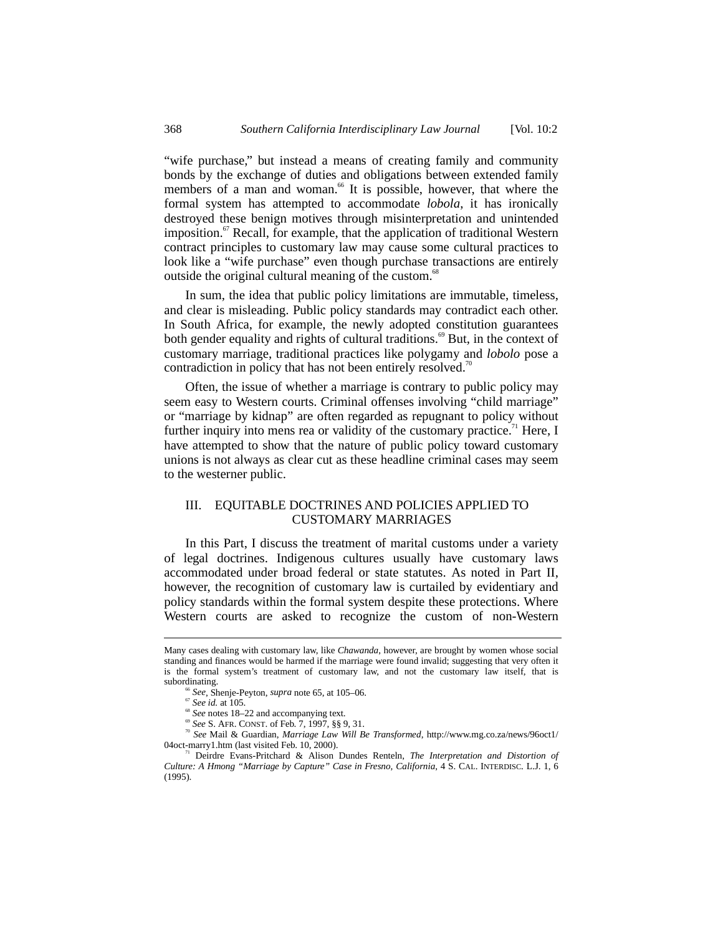"wife purchase," but instead a means of creating family and community bonds by the exchange of duties and obligations between extended family members of a man and woman.<sup>66</sup> It is possible, however, that where the formal system has attempted to accommodate *lobola*, it has ironically destroyed these benign motives through misinterpretation and unintended imposition. $\sigma$ <sup>7</sup> Recall, for example, that the application of traditional Western contract principles to customary law may cause some cultural practices to look like a "wife purchase" even though purchase transactions are entirely outside the original cultural meaning of the custom.<sup>68</sup>

In sum, the idea that public policy limitations are immutable, timeless, and clear is misleading. Public policy standards may contradict each other. In South Africa, for example, the newly adopted constitution guarantees both gender equality and rights of cultural traditions.<sup>69</sup> But, in the context of customary marriage, traditional practices like polygamy and *lobolo* pose a contradiction in policy that has not been entirely resolved.<sup>70</sup>

Often, the issue of whether a marriage is contrary to public policy may seem easy to Western courts. Criminal offenses involving "child marriage" or "marriage by kidnap" are often regarded as repugnant to policy without further inquiry into mens rea or validity of the customary practice.<sup>71</sup> Here, I have attempted to show that the nature of public policy toward customary unions is not always as clear cut as these headline criminal cases may seem to the westerner public.

# III. EQUITABLE DOCTRINES AND POLICIES APPLIED TO CUSTOMARY MARRIAGES

In this Part, I discuss the treatment of marital customs under a variety of legal doctrines. Indigenous cultures usually have customary laws accommodated under broad federal or state statutes. As noted in Part II, however, the recognition of customary law is curtailed by evidentiary and policy standards within the formal system despite these protections. Where Western courts are asked to recognize the custom of non-Western

Many cases dealing with customary law, like *Chawanda*, however, are brought by women whose social standing and finances would be harmed if the marriage were found invalid; suggesting that very often it is the formal system's treatment of customary law, and not the customary law itself, that is subordinating.

<sup>66</sup> *See*, Shenje-Peyton, *supra* note 65, at 105–06. <sup>67</sup> *See id.* at 105.

<sup>&</sup>lt;sup>69</sup> *See* S. AFR. CONST. of Feb. 7, 1997, §§ 9, 31.<br><sup>70</sup> *See* Mail & Guardian, *Marriage Law Will Be Transformed*, http://www.mg.co.za/news/96oct1/<br>04oct-marry1.htm (last visited Feb. 10, 2000).

Deirdre Evans-Pritchard & Alison Dundes Renteln, *The Interpretation and Distortion of Culture: A Hmong "Marriage by Capture" Case in Fresno, California*, 4 S. CAL. INTERDISC. L.J. 1, 6 (1995).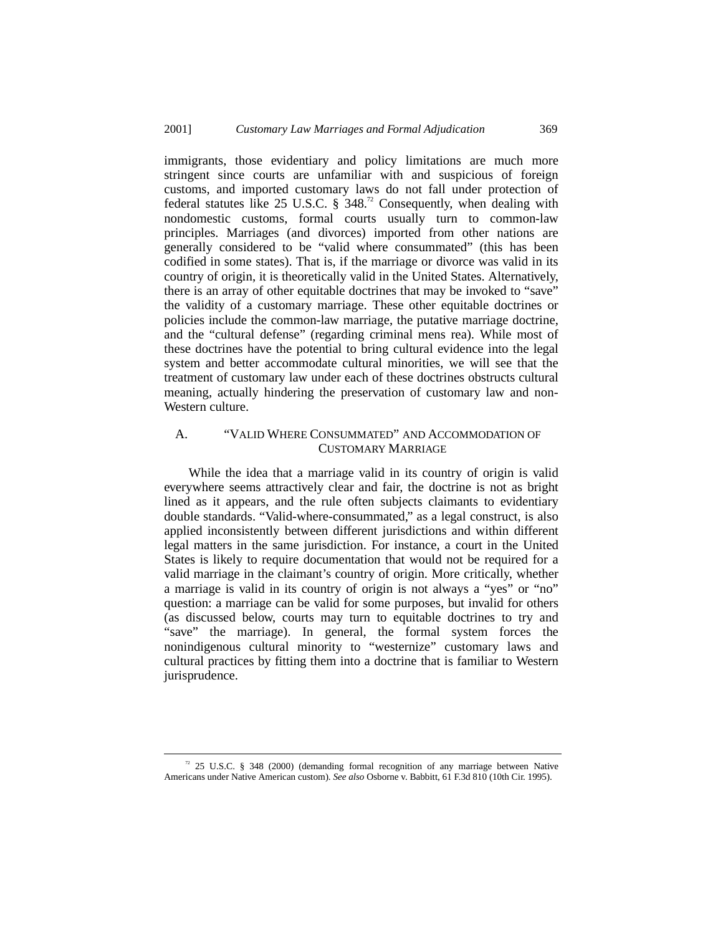immigrants, those evidentiary and policy limitations are much more stringent since courts are unfamiliar with and suspicious of foreign customs, and imported customary laws do not fall under protection of federal statutes like 25 U.S.C. § 348.<sup>72</sup> Consequently, when dealing with nondomestic customs, formal courts usually turn to common-law principles. Marriages (and divorces) imported from other nations are generally considered to be "valid where consummated" (this has been codified in some states). That is, if the marriage or divorce was valid in its country of origin, it is theoretically valid in the United States. Alternatively, there is an array of other equitable doctrines that may be invoked to "save" the validity of a customary marriage. These other equitable doctrines or policies include the common-law marriage, the putative marriage doctrine, and the "cultural defense" (regarding criminal mens rea). While most of these doctrines have the potential to bring cultural evidence into the legal system and better accommodate cultural minorities, we will see that the treatment of customary law under each of these doctrines obstructs cultural meaning, actually hindering the preservation of customary law and non-Western culture.

# A. "VALID WHERE CONSUMMATED" AND ACCOMMODATION OF CUSTOMARY MARRIAGE

While the idea that a marriage valid in its country of origin is valid everywhere seems attractively clear and fair, the doctrine is not as bright lined as it appears, and the rule often subjects claimants to evidentiary double standards. "Valid-where-consummated," as a legal construct, is also applied inconsistently between different jurisdictions and within different legal matters in the same jurisdiction. For instance, a court in the United States is likely to require documentation that would not be required for a valid marriage in the claimant's country of origin. More critically, whether a marriage is valid in its country of origin is not always a "yes" or "no" question: a marriage can be valid for some purposes, but invalid for others (as discussed below, courts may turn to equitable doctrines to try and "save" the marriage). In general, the formal system forces the nonindigenous cultural minority to "westernize" customary laws and cultural practices by fitting them into a doctrine that is familiar to Western jurisprudence.

 $72$  25 U.S.C. § 348 (2000) (demanding formal recognition of any marriage between Native Americans under Native American custom). *See also* Osborne v. Babbitt, 61 F.3d 810 (10th Cir. 1995).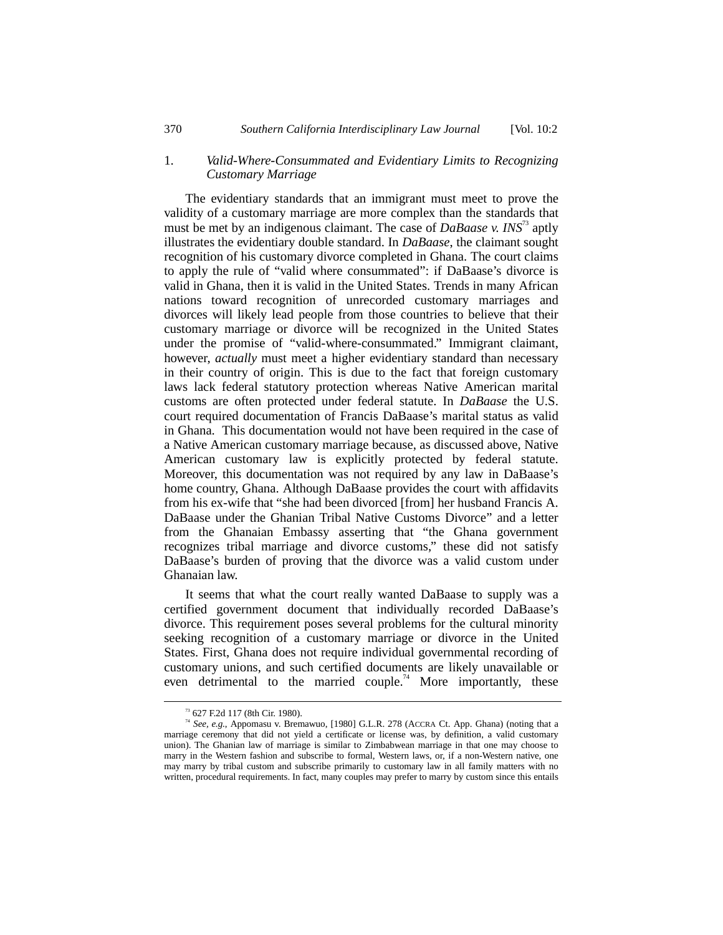### 1. *Valid-Where-Consummated and Evidentiary Limits to Recognizing Customary Marriage*

The evidentiary standards that an immigrant must meet to prove the validity of a customary marriage are more complex than the standards that must be met by an indigenous claimant. The case of *DaBaase v. INS*73 aptly illustrates the evidentiary double standard. In *DaBaase*, the claimant sought recognition of his customary divorce completed in Ghana. The court claims to apply the rule of "valid where consummated": if DaBaase's divorce is valid in Ghana, then it is valid in the United States. Trends in many African nations toward recognition of unrecorded customary marriages and divorces will likely lead people from those countries to believe that their customary marriage or divorce will be recognized in the United States under the promise of "valid-where-consummated." Immigrant claimant, however, *actually* must meet a higher evidentiary standard than necessary in their country of origin. This is due to the fact that foreign customary laws lack federal statutory protection whereas Native American marital customs are often protected under federal statute. In *DaBaase* the U.S. court required documentation of Francis DaBaase's marital status as valid in Ghana. This documentation would not have been required in the case of a Native American customary marriage because, as discussed above, Native American customary law is explicitly protected by federal statute. Moreover, this documentation was not required by any law in DaBaase's home country, Ghana. Although DaBaase provides the court with affidavits from his ex-wife that "she had been divorced [from] her husband Francis A. DaBaase under the Ghanian Tribal Native Customs Divorce" and a letter from the Ghanaian Embassy asserting that "the Ghana government recognizes tribal marriage and divorce customs," these did not satisfy DaBaase's burden of proving that the divorce was a valid custom under Ghanaian law.

It seems that what the court really wanted DaBaase to supply was a certified government document that individually recorded DaBaase's divorce. This requirement poses several problems for the cultural minority seeking recognition of a customary marriage or divorce in the United States. First, Ghana does not require individual governmental recording of customary unions, and such certified documents are likely unavailable or even detrimental to the married couple.<sup>74</sup> More importantly, these

 <sup>73 627</sup> F.2d 117 (8th Cir. 1980).

<sup>&</sup>lt;sup>74</sup> See, e.g., Appomasu v. Bremawuo, [1980] G.L.R. 278 (ACCRA Ct. App. Ghana) (noting that a marriage ceremony that did not yield a certificate or license was, by definition, a valid customary union). The Ghanian law of marriage is similar to Zimbabwean marriage in that one may choose to marry in the Western fashion and subscribe to formal, Western laws, or, if a non-Western native, one may marry by tribal custom and subscribe primarily to customary law in all family matters with no written, procedural requirements. In fact, many couples may prefer to marry by custom since this entails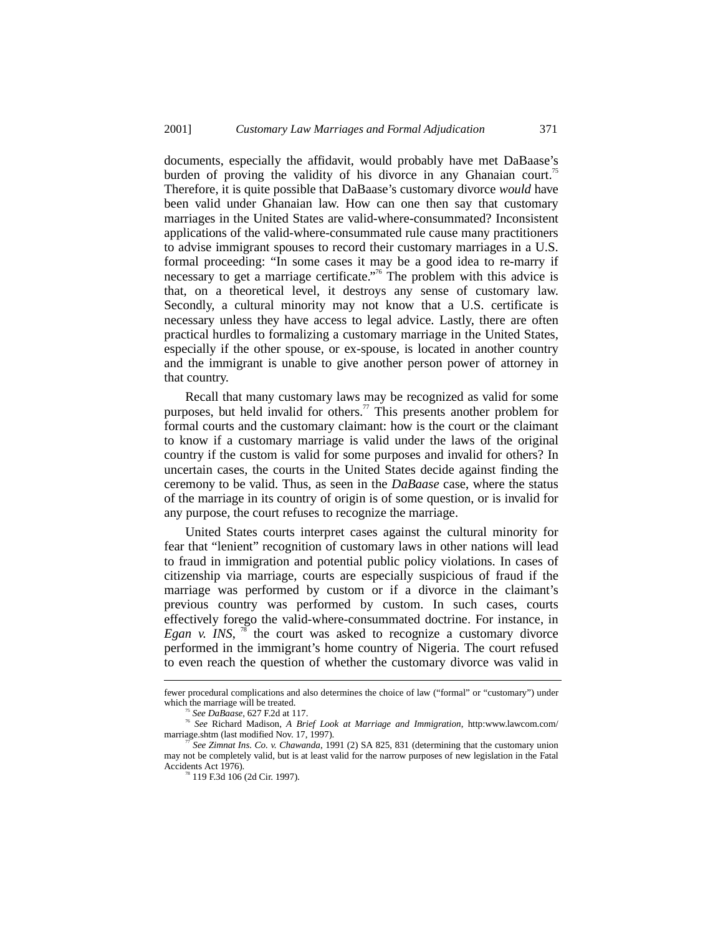documents, especially the affidavit, would probably have met DaBaase's burden of proving the validity of his divorce in any Ghanaian court.<sup>75</sup> Therefore, it is quite possible that DaBaase's customary divorce *would* have been valid under Ghanaian law. How can one then say that customary marriages in the United States are valid-where-consummated? Inconsistent applications of the valid-where-consummated rule cause many practitioners to advise immigrant spouses to record their customary marriages in a U.S. formal proceeding: "In some cases it may be a good idea to re-marry if necessary to get a marriage certificate."<sup>76</sup> The problem with this advice is that, on a theoretical level, it destroys any sense of customary law. Secondly, a cultural minority may not know that a U.S. certificate is necessary unless they have access to legal advice. Lastly, there are often practical hurdles to formalizing a customary marriage in the United States, especially if the other spouse, or ex-spouse, is located in another country and the immigrant is unable to give another person power of attorney in that country.

Recall that many customary laws may be recognized as valid for some purposes, but held invalid for others.<sup>77</sup> This presents another problem for formal courts and the customary claimant: how is the court or the claimant to know if a customary marriage is valid under the laws of the original country if the custom is valid for some purposes and invalid for others? In uncertain cases, the courts in the United States decide against finding the ceremony to be valid. Thus, as seen in the *DaBaase* case, where the status of the marriage in its country of origin is of some question, or is invalid for any purpose, the court refuses to recognize the marriage.

United States courts interpret cases against the cultural minority for fear that "lenient" recognition of customary laws in other nations will lead to fraud in immigration and potential public policy violations. In cases of citizenship via marriage, courts are especially suspicious of fraud if the marriage was performed by custom or if a divorce in the claimant's previous country was performed by custom. In such cases, courts effectively forego the valid-where-consummated doctrine. For instance, in *Egan v. INS*,  $^{78}$  the court was asked to recognize a customary divorce performed in the immigrant's home country of Nigeria. The court refused to even reach the question of whether the customary divorce was valid in

fewer procedural complications and also determines the choice of law ("formal" or "customary") under which the marriage will be treated.<br><sup>75</sup> See DaBaase, 627 F.2d at 117.

<sup>75</sup> *See DaBaase*, 627 F.2d at 117. <sup>76</sup> *See* Richard Madison, *A Brief Look at Marriage and Immigration*, http:www.lawcom.com/ marriage.shtm (last modified Nov. 17, 1997).

<sup>77</sup> *See Zimnat Ins. Co. v. Chawanda*, 1991 (2) SA 825, 831 (determining that the customary union may not be completely valid, but is at least valid for the narrow purposes of new legislation in the Fatal

<sup>&</sup>lt;sup>3</sup> 119 F.3d 106 (2d Cir. 1997).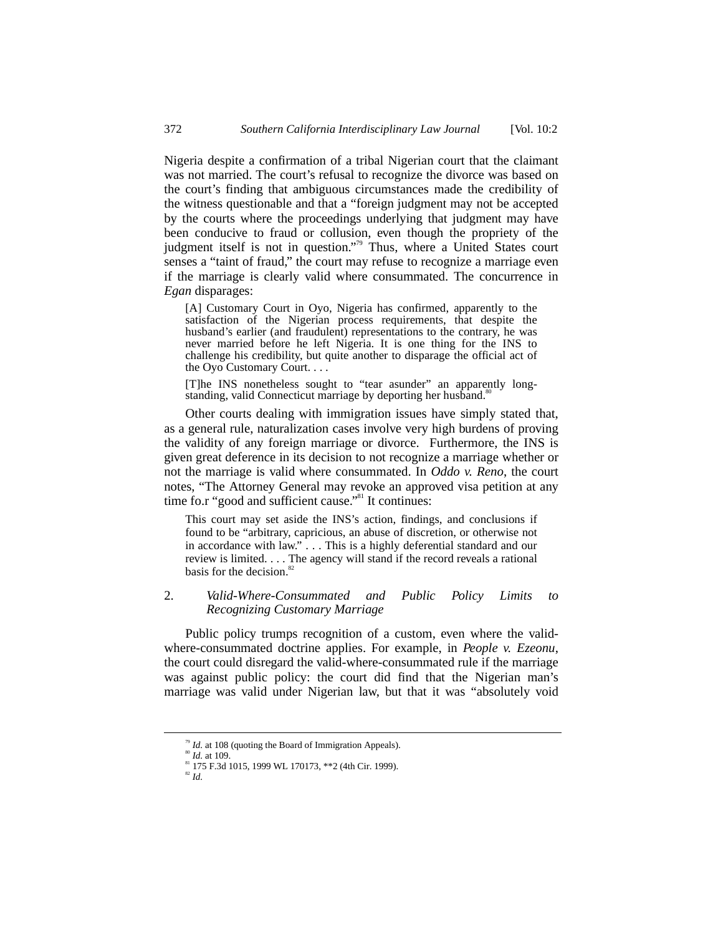Nigeria despite a confirmation of a tribal Nigerian court that the claimant was not married. The court's refusal to recognize the divorce was based on the court's finding that ambiguous circumstances made the credibility of the witness questionable and that a "foreign judgment may not be accepted by the courts where the proceedings underlying that judgment may have been conducive to fraud or collusion, even though the propriety of the judgment itself is not in question."<sup>79</sup> Thus, where a United States court senses a "taint of fraud," the court may refuse to recognize a marriage even if the marriage is clearly valid where consummated. The concurrence in *Egan* disparages:

[A] Customary Court in Oyo, Nigeria has confirmed, apparently to the satisfaction of the Nigerian process requirements, that despite the husband's earlier (and fraudulent) representations to the contrary, he was never married before he left Nigeria. It is one thing for the INS to challenge his credibility, but quite another to disparage the official act of the Oyo Customary Court. . . .

[T]he INS nonetheless sought to "tear asunder" an apparently longstanding, valid Connecticut marriage by deporting her husband.<sup>8</sup>

Other courts dealing with immigration issues have simply stated that, as a general rule, naturalization cases involve very high burdens of proving the validity of any foreign marriage or divorce. Furthermore, the INS is given great deference in its decision to not recognize a marriage whether or not the marriage is valid where consummated. In *Oddo v. Reno*, the court notes, "The Attorney General may revoke an approved visa petition at any time fo.r "good and sufficient cause."<sup>81</sup> It continues:

This court may set aside the INS's action, findings, and conclusions if found to be "arbitrary, capricious, an abuse of discretion, or otherwise not in accordance with law." . . . This is a highly deferential standard and our review is limited. . . . The agency will stand if the record reveals a rational basis for the decision.<sup>82</sup>

#### 2. *Valid-Where-Consummated and Public Policy Limits to Recognizing Customary Marriage*

Public policy trumps recognition of a custom, even where the validwhere-consummated doctrine applies. For example, in *People v. Ezeonu*, the court could disregard the valid-where-consummated rule if the marriage was against public policy: the court did find that the Nigerian man's marriage was valid under Nigerian law, but that it was "absolutely void

<sup>&</sup>lt;sup>79</sup> *Id.* at 108 (quoting the Board of Immigration Appeals). <sup>80</sup> *Id.* at 109.

 $81$  175 F.3d 1015, 1999 WL 170173, \*\*2 (4th Cir. 1999).

<sup>82</sup> *Id.*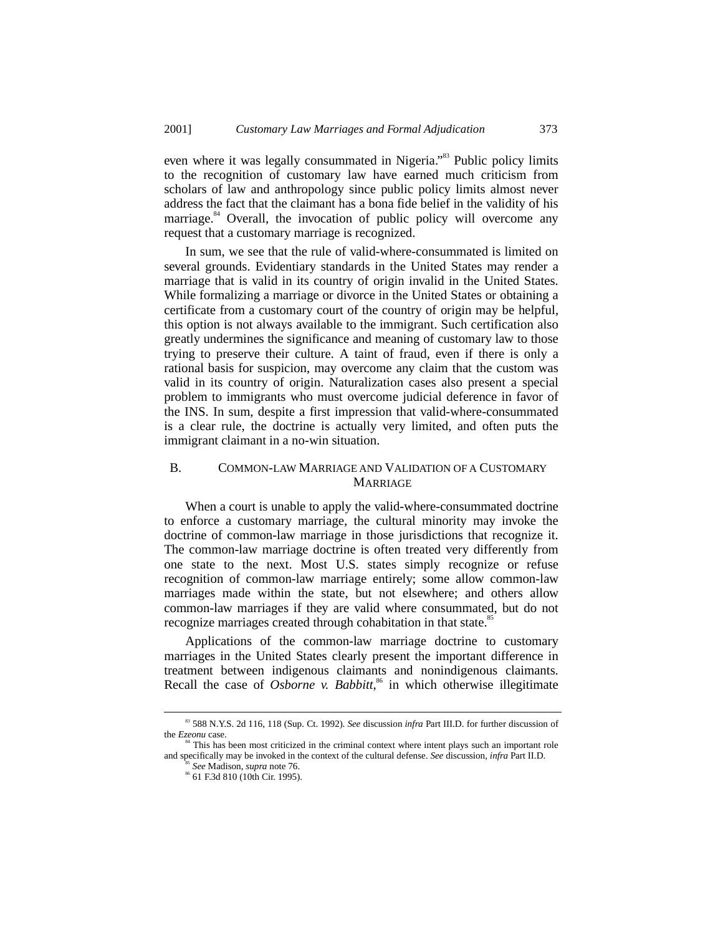even where it was legally consummated in Nigeria."<sup>33</sup> Public policy limits to the recognition of customary law have earned much criticism from scholars of law and anthropology since public policy limits almost never address the fact that the claimant has a bona fide belief in the validity of his marriage.<sup>84</sup> Overall, the invocation of public policy will overcome any request that a customary marriage is recognized.

In sum, we see that the rule of valid-where-consummated is limited on several grounds. Evidentiary standards in the United States may render a marriage that is valid in its country of origin invalid in the United States. While formalizing a marriage or divorce in the United States or obtaining a certificate from a customary court of the country of origin may be helpful, this option is not always available to the immigrant. Such certification also greatly undermines the significance and meaning of customary law to those trying to preserve their culture. A taint of fraud, even if there is only a rational basis for suspicion, may overcome any claim that the custom was valid in its country of origin. Naturalization cases also present a special problem to immigrants who must overcome judicial deference in favor of the INS. In sum, despite a first impression that valid-where-consummated is a clear rule, the doctrine is actually very limited, and often puts the immigrant claimant in a no-win situation.

### B. COMMON-LAW MARRIAGE AND VALIDATION OF A CUSTOMARY **MARRIAGE**

When a court is unable to apply the valid-where-consummated doctrine to enforce a customary marriage, the cultural minority may invoke the doctrine of common-law marriage in those jurisdictions that recognize it. The common-law marriage doctrine is often treated very differently from one state to the next. Most U.S. states simply recognize or refuse recognition of common-law marriage entirely; some allow common-law marriages made within the state, but not elsewhere; and others allow common-law marriages if they are valid where consummated, but do not recognize marriages created through cohabitation in that state.<sup>85</sup>

Applications of the common-law marriage doctrine to customary marriages in the United States clearly present the important difference in treatment between indigenous claimants and nonindigenous claimants. Recall the case of *Osborne v. Babbitt*,<sup>86</sup> in which otherwise illegitimate

 <sup>83 588</sup> N.Y.S. 2d 116, 118 (Sup. Ct. 1992). *See* discussion *infra* Part III.D. for further discussion of the *Ezeonu* case.

<sup>&</sup>lt;sup>4</sup> This has been most criticized in the criminal context where intent plays such an important role and specifically may be invoked in the context of the cultural defense. *See* discussion, *infra* Part II.D.

<sup>85</sup> *See* Madison, *supra* note 76. 86 61 F.3d 810 (10th Cir. 1995).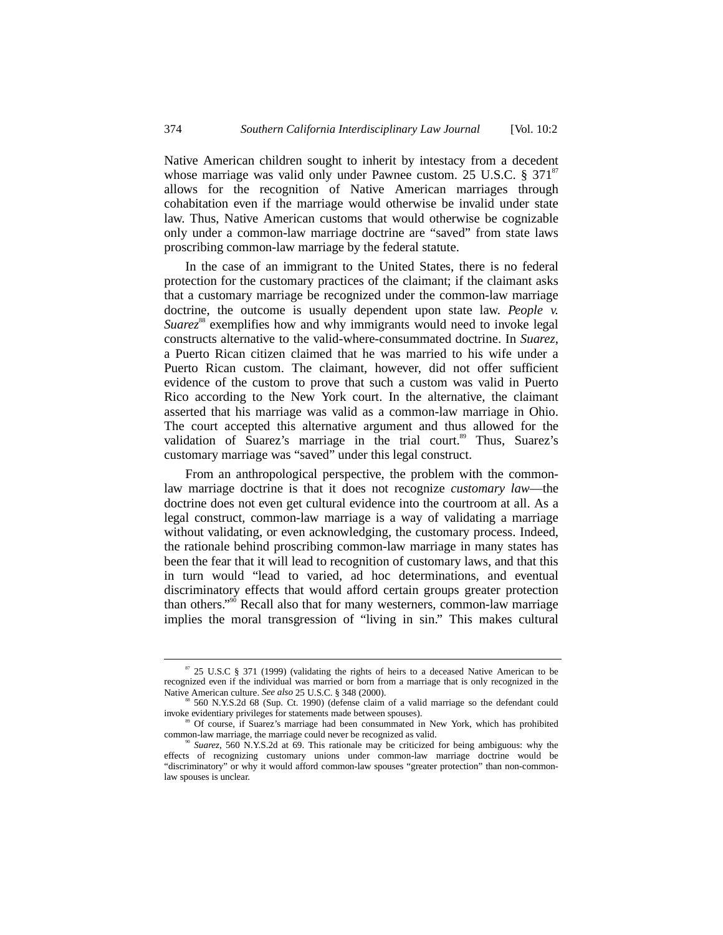Native American children sought to inherit by intestacy from a decedent whose marriage was valid only under Pawnee custom. 25 U.S.C.  $\S 371^{87}$ allows for the recognition of Native American marriages through cohabitation even if the marriage would otherwise be invalid under state law. Thus, Native American customs that would otherwise be cognizable only under a common-law marriage doctrine are "saved" from state laws proscribing common-law marriage by the federal statute.

In the case of an immigrant to the United States, there is no federal protection for the customary practices of the claimant; if the claimant asks that a customary marriage be recognized under the common-law marriage doctrine, the outcome is usually dependent upon state law. *People v. Suarez*<sup>88</sup> exemplifies how and why immigrants would need to invoke legal constructs alternative to the valid-where-consummated doctrine. In *Suarez*, a Puerto Rican citizen claimed that he was married to his wife under a Puerto Rican custom. The claimant, however, did not offer sufficient evidence of the custom to prove that such a custom was valid in Puerto Rico according to the New York court. In the alternative, the claimant asserted that his marriage was valid as a common-law marriage in Ohio. The court accepted this alternative argument and thus allowed for the validation of Suarez's marriage in the trial court.<sup>89</sup> Thus, Suarez's customary marriage was "saved" under this legal construct.

From an anthropological perspective, the problem with the commonlaw marriage doctrine is that it does not recognize *customary law*—the doctrine does not even get cultural evidence into the courtroom at all. As a legal construct, common-law marriage is a way of validating a marriage without validating, or even acknowledging, the customary process. Indeed, the rationale behind proscribing common-law marriage in many states has been the fear that it will lead to recognition of customary laws, and that this in turn would "lead to varied, ad hoc determinations, and eventual discriminatory effects that would afford certain groups greater protection than others."<sup>90</sup> Recall also that for many westerners, common-law marriage implies the moral transgression of "living in sin." This makes cultural

 <sup>87 25</sup> U.S.C § 371 (1999) (validating the rights of heirs to a deceased Native American to be recognized even if the individual was married or born from a marriage that is only recognized in the Native American culture. See also 25 U.S.C. § 348 (2000).

<sup>&</sup>lt;sup>88</sup> 560 N.Y.S.2d 68 (Sup. Ct. 1990) (defense claim of a valid marriage so the defendant could invoke evidentiary privileges for statements made between spouses).

Of course, if Suarez's marriage had been consummated in New York, which has prohibited common-law marriage, the marriage could never be recognized as valid.

<sup>90</sup> *Suarez*, 560 N.Y.S.2d at 69. This rationale may be criticized for being ambiguous: why the effects of recognizing customary unions under common-law marriage doctrine would be "discriminatory" or why it would afford common-law spouses "greater protection" than non-commonlaw spouses is unclear.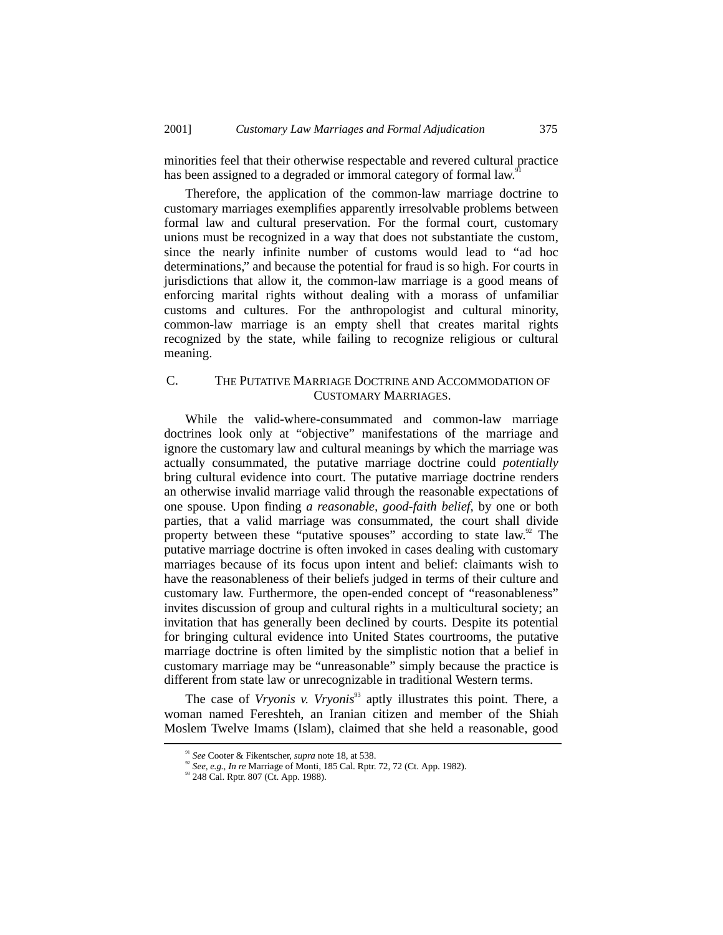minorities feel that their otherwise respectable and revered cultural practice has been assigned to a degraded or immoral category of formal law.<sup>9</sup>

Therefore, the application of the common-law marriage doctrine to customary marriages exemplifies apparently irresolvable problems between formal law and cultural preservation. For the formal court, customary unions must be recognized in a way that does not substantiate the custom, since the nearly infinite number of customs would lead to "ad hoc determinations," and because the potential for fraud is so high. For courts in jurisdictions that allow it, the common-law marriage is a good means of enforcing marital rights without dealing with a morass of unfamiliar customs and cultures. For the anthropologist and cultural minority, common-law marriage is an empty shell that creates marital rights recognized by the state, while failing to recognize religious or cultural meaning.

# C. THE PUTATIVE MARRIAGE DOCTRINE AND ACCOMMODATION OF CUSTOMARY MARRIAGES.

While the valid-where-consummated and common-law marriage doctrines look only at "objective" manifestations of the marriage and ignore the customary law and cultural meanings by which the marriage was actually consummated, the putative marriage doctrine could *potentially* bring cultural evidence into court. The putative marriage doctrine renders an otherwise invalid marriage valid through the reasonable expectations of one spouse. Upon finding *a reasonable, good-faith belief,* by one or both parties, that a valid marriage was consummated, the court shall divide property between these "putative spouses" according to state law. $92$  The putative marriage doctrine is often invoked in cases dealing with customary marriages because of its focus upon intent and belief: claimants wish to have the reasonableness of their beliefs judged in terms of their culture and customary law. Furthermore, the open-ended concept of "reasonableness" invites discussion of group and cultural rights in a multicultural society; an invitation that has generally been declined by courts. Despite its potential for bringing cultural evidence into United States courtrooms, the putative marriage doctrine is often limited by the simplistic notion that a belief in customary marriage may be "unreasonable" simply because the practice is different from state law or unrecognizable in traditional Western terms.

The case of *Vryonis v. Vryonis*<sup>93</sup> aptly illustrates this point. There, a woman named Fereshteh, an Iranian citizen and member of the Shiah Moslem Twelve Imams (Islam), claimed that she held a reasonable, good

 <sup>91</sup> *See* Cooter & Fikentscher, *supra* note 18, at 538.

<sup>&</sup>lt;sup>92</sup> *See, e.g., In re* Marriage of Monti, 185 Cal. Rptr. 72, 72 (Ct. App. 1982).<br><sup>93</sup> 248 Cal. Rptr. 807 (Ct. App. 1988).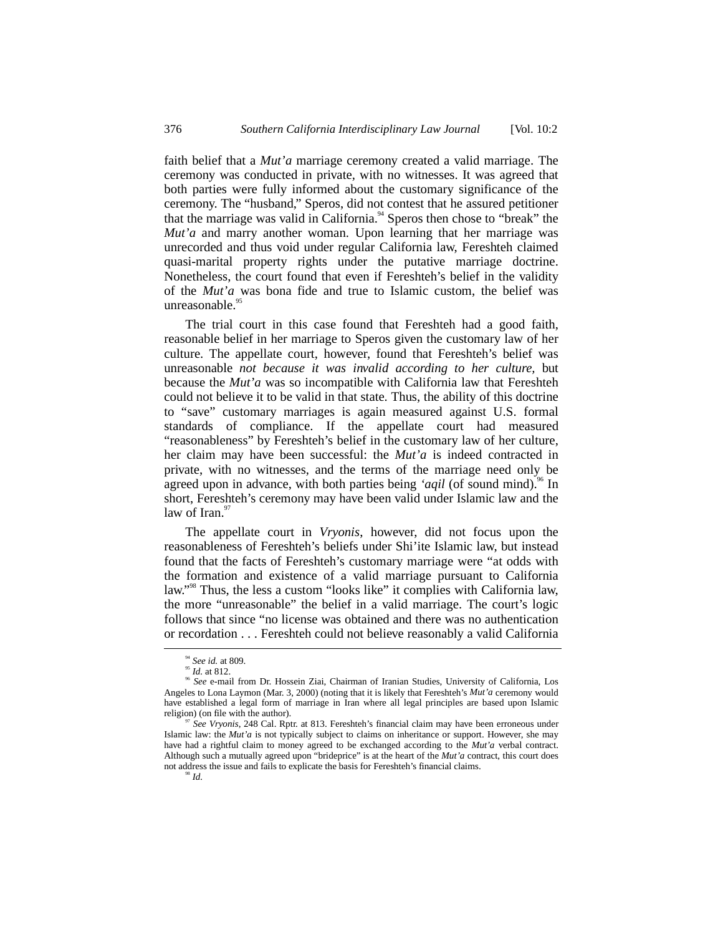faith belief that a *Mut'a* marriage ceremony created a valid marriage. The ceremony was conducted in private, with no witnesses. It was agreed that both parties were fully informed about the customary significance of the ceremony. The "husband," Speros, did not contest that he assured petitioner that the marriage was valid in California.<sup>94</sup> Speros then chose to "break" the *Mut'a* and marry another woman. Upon learning that her marriage was unrecorded and thus void under regular California law, Fereshteh claimed quasi-marital property rights under the putative marriage doctrine. Nonetheless, the court found that even if Fereshteh's belief in the validity of the *Mut'a* was bona fide and true to Islamic custom, the belief was unreasonable.<sup>95</sup>

The trial court in this case found that Fereshteh had a good faith, reasonable belief in her marriage to Speros given the customary law of her culture. The appellate court, however, found that Fereshteh's belief was unreasonable *not because it was invalid according to her culture,* but because the *Mut'a* was so incompatible with California law that Fereshteh could not believe it to be valid in that state*.* Thus, the ability of this doctrine to "save" customary marriages is again measured against U.S. formal standards of compliance. If the appellate court had measured "reasonableness" by Fereshteh's belief in the customary law of her culture, her claim may have been successful: the *Mut'a* is indeed contracted in private, with no witnesses, and the terms of the marriage need only be agreed upon in advance, with both parties being *'aqil* (of sound mind).<sup>96</sup> In short, Fereshteh's ceremony may have been valid under Islamic law and the law of Iran. $97$ 

The appellate court in *Vryonis*, however, did not focus upon the reasonableness of Fereshteh's beliefs under Shi'ite Islamic law, but instead found that the facts of Fereshteh's customary marriage were "at odds with the formation and existence of a valid marriage pursuant to California law." 98 Thus, the less a custom "looks like" it complies with California law, the more "unreasonable" the belief in a valid marriage. The court's logic follows that since "no license was obtained and there was no authentication or recordation . . . Fereshteh could not believe reasonably a valid California

<sup>&</sup>lt;sup>94</sup> See id. at 809.<br><sup>95</sup> *Id.* at 812.<br><sup>96</sup> See e-mail from Dr. Hossein Ziai, Chairman of Iranian Studies, University of California, Los Angeles to Lona Laymon (Mar. 3, 2000) (noting that it is likely that Fereshteh's *Mut'a* ceremony would have established a legal form of marriage in Iran where all legal principles are based upon Islamic religion) (on file with the author).

*See Vryonis*, 248 Cal. Rptr. at 813. Fereshteh's financial claim may have been erroneous under Islamic law: the *Mut'a* is not typically subject to claims on inheritance or support. However, she may have had a rightful claim to money agreed to be exchanged according to the *Mut'a* verbal contract. Although such a mutually agreed upon "brideprice" is at the heart of the *Mut'a* contract, this court does not address the issue and fails to explicate the basis for Fereshteh's financial claims.<br><sup>98</sup> *Id.*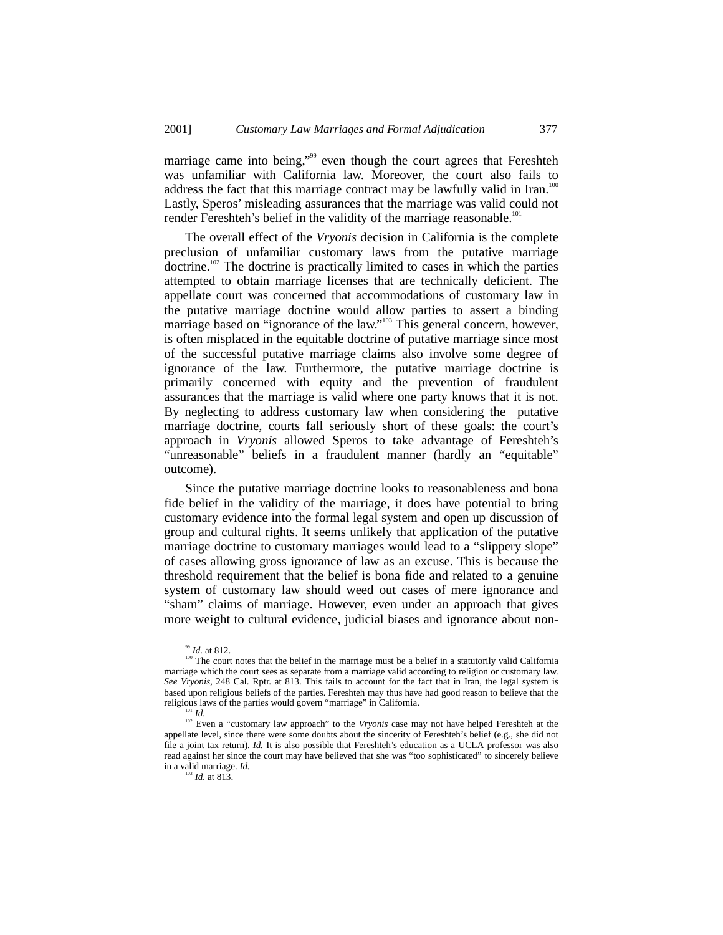marriage came into being,"<sup>99</sup> even though the court agrees that Fereshteh was unfamiliar with California law. Moreover, the court also fails to address the fact that this marriage contract may be lawfully valid in Iran.<sup>100</sup> Lastly, Speros' misleading assurances that the marriage was valid could not render Fereshteh's belief in the validity of the marriage reasonable.<sup>101</sup>

The overall effect of the *Vryonis* decision in California is the complete preclusion of unfamiliar customary laws from the putative marriage doctrine.102 The doctrine is practically limited to cases in which the parties attempted to obtain marriage licenses that are technically deficient. The appellate court was concerned that accommodations of customary law in the putative marriage doctrine would allow parties to assert a binding marriage based on "ignorance of the law."<sup>103</sup> This general concern, however, is often misplaced in the equitable doctrine of putative marriage since most of the successful putative marriage claims also involve some degree of ignorance of the law. Furthermore, the putative marriage doctrine is primarily concerned with equity and the prevention of fraudulent assurances that the marriage is valid where one party knows that it is not. By neglecting to address customary law when considering the putative marriage doctrine, courts fall seriously short of these goals: the court's approach in *Vryonis* allowed Speros to take advantage of Fereshteh's "unreasonable" beliefs in a fraudulent manner (hardly an "equitable" outcome).

Since the putative marriage doctrine looks to reasonableness and bona fide belief in the validity of the marriage, it does have potential to bring customary evidence into the formal legal system and open up discussion of group and cultural rights. It seems unlikely that application of the putative marriage doctrine to customary marriages would lead to a "slippery slope" of cases allowing gross ignorance of law as an excuse. This is because the threshold requirement that the belief is bona fide and related to a genuine system of customary law should weed out cases of mere ignorance and "sham" claims of marriage. However, even under an approach that gives more weight to cultural evidence, judicial biases and ignorance about non-

 <sup>99</sup> *Id.* at 812.

<sup>&</sup>lt;sup>100</sup> The court notes that the belief in the marriage must be a belief in a statutorily valid California marriage which the court sees as separate from a marriage valid according to religion or customary law. *See Vryonis*, 248 Cal. Rptr. at 813. This fails to account for the fact that in Iran, the legal system is based upon religious beliefs of the parties. Fereshteh may thus have had good reason to believe that the religious laws of the parties would govern "marriage" in California.

<sup>101</sup> *Id.*

<sup>&</sup>lt;sup>102</sup> Even a "customary law approach" to the *Vryonis* case may not have helped Fereshteh at the appellate level, since there were some doubts about the sincerity of Fereshteh's belief (e.g., she did not file a joint tax return). *Id.* It is also possible that Fereshteh's education as a UCLA professor was also read against her since the court may have believed that she was "too sophisticated" to sincerely believe in a valid marriage. *Id.*  $\frac{1}{103}$  *Id.* at 813.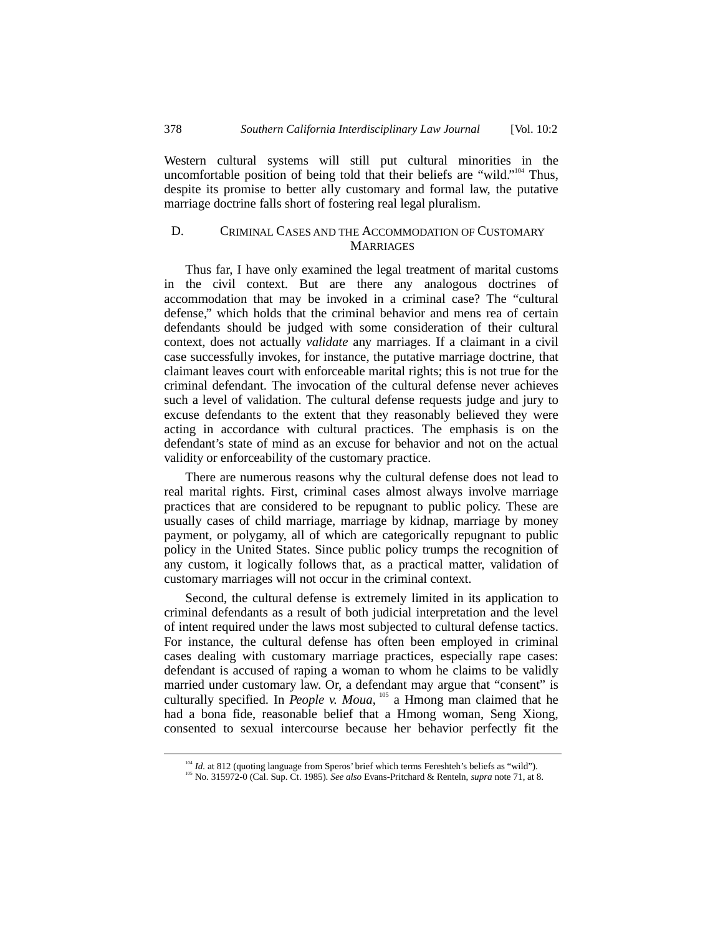Western cultural systems will still put cultural minorities in the uncomfortable position of being told that their beliefs are "wild."<sup>104</sup> Thus, despite its promise to better ally customary and formal law, the putative marriage doctrine falls short of fostering real legal pluralism.

# D. CRIMINAL CASES AND THE ACCOMMODATION OF CUSTOMARY **MARRIAGES**

Thus far, I have only examined the legal treatment of marital customs in the civil context. But are there any analogous doctrines of accommodation that may be invoked in a criminal case? The "cultural defense," which holds that the criminal behavior and mens rea of certain defendants should be judged with some consideration of their cultural context, does not actually *validate* any marriages. If a claimant in a civil case successfully invokes, for instance, the putative marriage doctrine, that claimant leaves court with enforceable marital rights; this is not true for the criminal defendant. The invocation of the cultural defense never achieves such a level of validation. The cultural defense requests judge and jury to excuse defendants to the extent that they reasonably believed they were acting in accordance with cultural practices. The emphasis is on the defendant's state of mind as an excuse for behavior and not on the actual validity or enforceability of the customary practice.

There are numerous reasons why the cultural defense does not lead to real marital rights. First, criminal cases almost always involve marriage practices that are considered to be repugnant to public policy. These are usually cases of child marriage, marriage by kidnap, marriage by money payment, or polygamy, all of which are categorically repugnant to public policy in the United States. Since public policy trumps the recognition of any custom, it logically follows that, as a practical matter, validation of customary marriages will not occur in the criminal context.

Second, the cultural defense is extremely limited in its application to criminal defendants as a result of both judicial interpretation and the level of intent required under the laws most subjected to cultural defense tactics. For instance, the cultural defense has often been employed in criminal cases dealing with customary marriage practices, especially rape cases: defendant is accused of raping a woman to whom he claims to be validly married under customary law. Or, a defendant may argue that "consent" is culturally specified. In *People v. Moua*, <sup>105</sup> a Hmong man claimed that he had a bona fide, reasonable belief that a Hmong woman, Seng Xiong, consented to sexual intercourse because her behavior perfectly fit the

<sup>104</sup> *Id.* at 812 (quoting language from Speros' brief which terms Fereshteh's beliefs as "wild"). <sup>105</sup> No. 315972-0 (Cal. Sup. Ct. 1985). *See also* Evans-Pritchard & Renteln, *supra* note 71, at 8.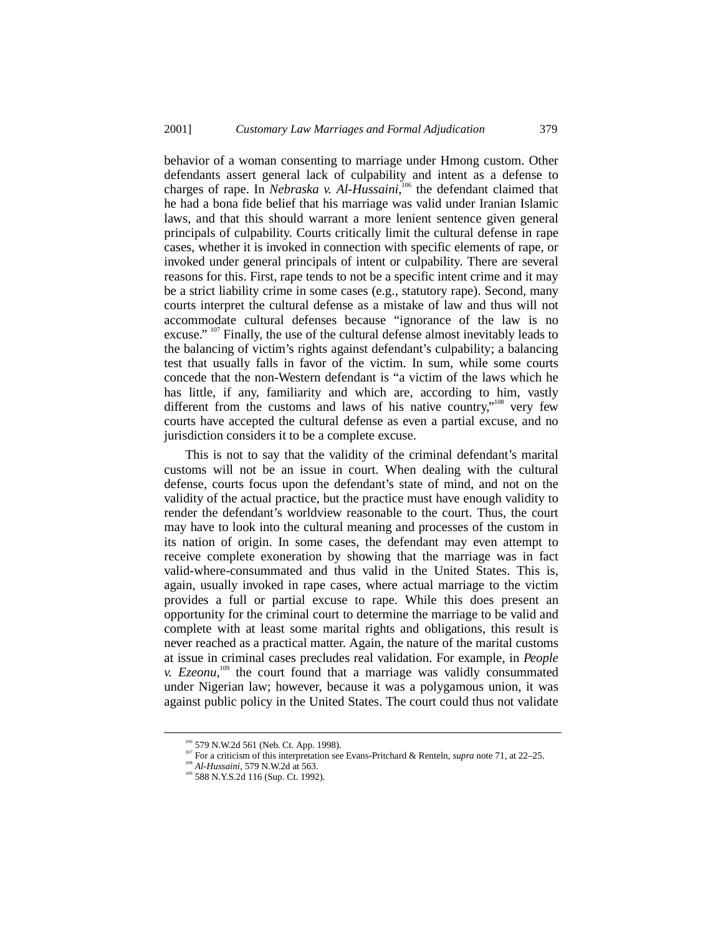behavior of a woman consenting to marriage under Hmong custom. Other defendants assert general lack of culpability and intent as a defense to charges of rape. In *Nebraska v. Al-Hussaini*,<sup>106</sup> the defendant claimed that he had a bona fide belief that his marriage was valid under Iranian Islamic laws, and that this should warrant a more lenient sentence given general principals of culpability. Courts critically limit the cultural defense in rape cases, whether it is invoked in connection with specific elements of rape, or invoked under general principals of intent or culpability. There are several reasons for this. First, rape tends to not be a specific intent crime and it may be a strict liability crime in some cases (e.g., statutory rape). Second, many courts interpret the cultural defense as a mistake of law and thus will not accommodate cultural defenses because "ignorance of the law is no excuse." <sup>107</sup> Finally, the use of the cultural defense almost inevitably leads to the balancing of victim's rights against defendant's culpability; a balancing test that usually falls in favor of the victim. In sum, while some courts concede that the non-Western defendant is "a victim of the laws which he has little, if any, familiarity and which are, according to him, vastly different from the customs and laws of his native country,"<sup>108</sup> very few courts have accepted the cultural defense as even a partial excuse, and no jurisdiction considers it to be a complete excuse.

This is not to say that the validity of the criminal defendant's marital customs will not be an issue in court. When dealing with the cultural defense, courts focus upon the defendant's state of mind, and not on the validity of the actual practice, but the practice must have enough validity to render the defendant's worldview reasonable to the court. Thus, the court may have to look into the cultural meaning and processes of the custom in its nation of origin. In some cases, the defendant may even attempt to receive complete exoneration by showing that the marriage was in fact valid-where-consummated and thus valid in the United States. This is, again, usually invoked in rape cases, where actual marriage to the victim provides a full or partial excuse to rape. While this does present an opportunity for the criminal court to determine the marriage to be valid and complete with at least some marital rights and obligations, this result is never reached as a practical matter. Again, the nature of the marital customs at issue in criminal cases precludes real validation. For example, in *People v. Ezeonu*, 109 the court found that a marriage was validly consummated under Nigerian law; however, because it was a polygamous union, it was against public policy in the United States. The court could thus not validate

<sup>&</sup>lt;sup>106</sup> 579 N.W.2d 561 (Neb. Ct. App. 1998).<br><sup>107</sup> For a criticism of this interpretation see Evans-Pritchard & Renteln, *supra* note 71, at 22–25.

<sup>108</sup> *Al-Hussaini*, 579 N.W.2d at 563. 109 588 N.Y.S.2d 116 (Sup. Ct. 1992).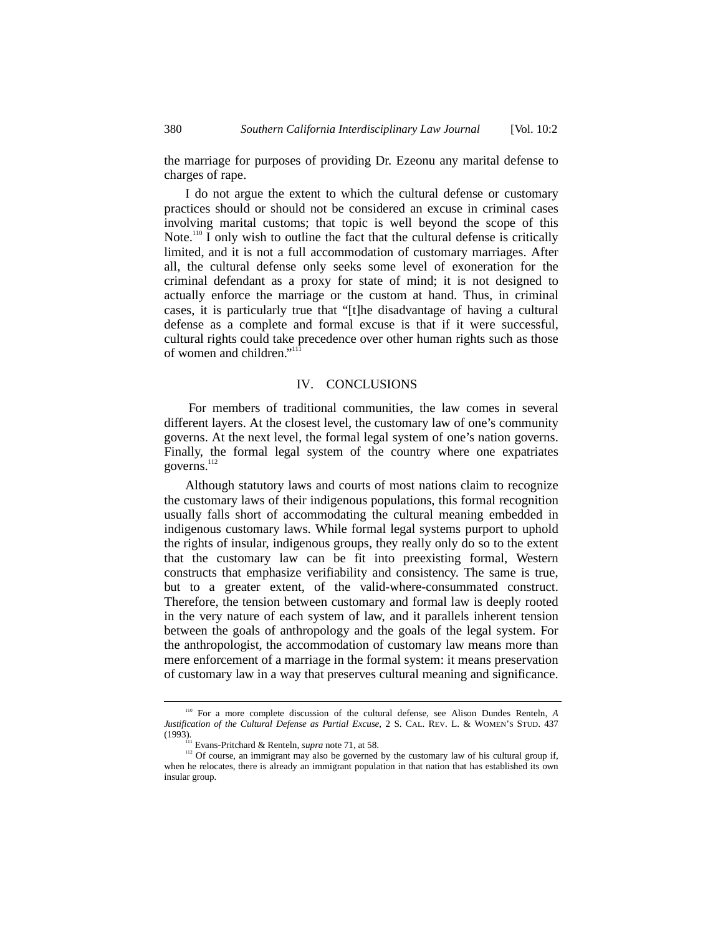the marriage for purposes of providing Dr. Ezeonu any marital defense to charges of rape.

I do not argue the extent to which the cultural defense or customary practices should or should not be considered an excuse in criminal cases involving marital customs; that topic is well beyond the scope of this Note.<sup>110</sup> I only wish to outline the fact that the cultural defense is critically limited, and it is not a full accommodation of customary marriages. After all, the cultural defense only seeks some level of exoneration for the criminal defendant as a proxy for state of mind; it is not designed to actually enforce the marriage or the custom at hand. Thus, in criminal cases, it is particularly true that "[t]he disadvantage of having a cultural defense as a complete and formal excuse is that if it were successful, cultural rights could take precedence over other human rights such as those of women and children."<sup>111</sup>

#### IV. CONCLUSIONS

 For members of traditional communities, the law comes in several different layers. At the closest level, the customary law of one's community governs. At the next level, the formal legal system of one's nation governs. Finally, the formal legal system of the country where one expatriates governs.<sup>112</sup>

Although statutory laws and courts of most nations claim to recognize the customary laws of their indigenous populations, this formal recognition usually falls short of accommodating the cultural meaning embedded in indigenous customary laws. While formal legal systems purport to uphold the rights of insular, indigenous groups, they really only do so to the extent that the customary law can be fit into preexisting formal, Western constructs that emphasize verifiability and consistency. The same is true, but to a greater extent, of the valid-where-consummated construct. Therefore, the tension between customary and formal law is deeply rooted in the very nature of each system of law, and it parallels inherent tension between the goals of anthropology and the goals of the legal system. For the anthropologist, the accommodation of customary law means more than mere enforcement of a marriage in the formal system: it means preservation of customary law in a way that preserves cultural meaning and significance.

 <sup>110</sup> For a more complete discussion of the cultural defense, see Alison Dundes Renteln, *<sup>A</sup> Justification of the Cultural Defense as Partial Excuse*, 2 S. CAL. REV. L. & WOMEN'S STUD. 437 (1993). Evans-Pritchard & Renteln, *supra* note 71, at 58.

<sup>&</sup>lt;sup>112</sup> Of course, an immigrant may also be governed by the customary law of his cultural group if, when he relocates, there is already an immigrant population in that nation that has established its own insular group.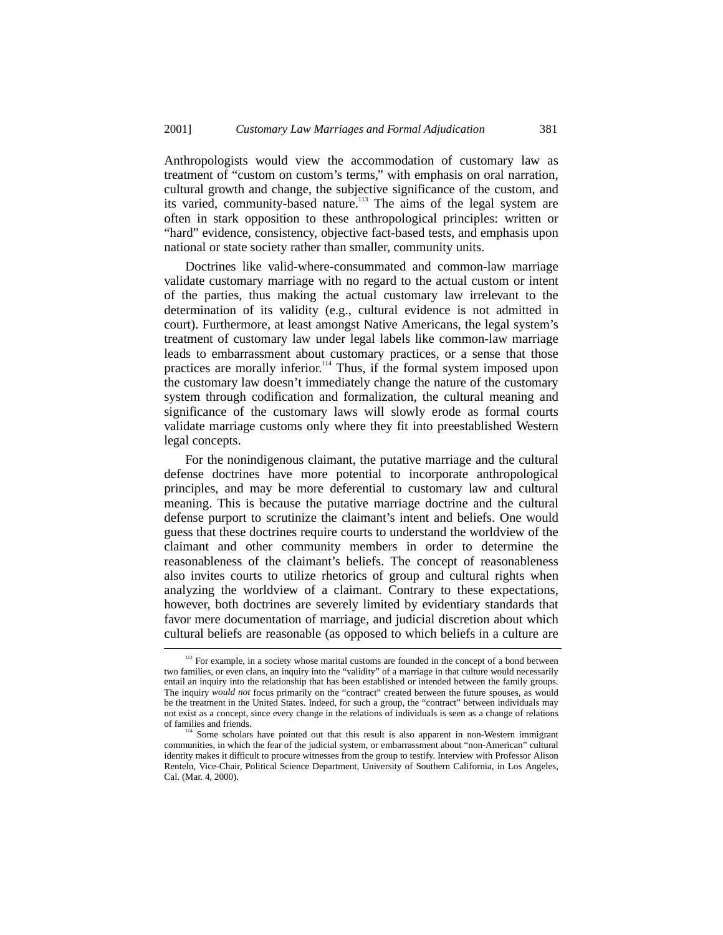Anthropologists would view the accommodation of customary law as treatment of "custom on custom's terms," with emphasis on oral narration, cultural growth and change, the subjective significance of the custom, and its varied, community-based nature.<sup>113</sup> The aims of the legal system are often in stark opposition to these anthropological principles: written or "hard" evidence, consistency, objective fact-based tests, and emphasis upon national or state society rather than smaller, community units.

Doctrines like valid-where-consummated and common-law marriage validate customary marriage with no regard to the actual custom or intent of the parties, thus making the actual customary law irrelevant to the determination of its validity (e.g., cultural evidence is not admitted in court). Furthermore, at least amongst Native Americans, the legal system's treatment of customary law under legal labels like common-law marriage leads to embarrassment about customary practices, or a sense that those practices are morally inferior.<sup>114</sup> Thus, if the formal system imposed upon the customary law doesn't immediately change the nature of the customary system through codification and formalization, the cultural meaning and significance of the customary laws will slowly erode as formal courts validate marriage customs only where they fit into preestablished Western legal concepts.

For the nonindigenous claimant, the putative marriage and the cultural defense doctrines have more potential to incorporate anthropological principles, and may be more deferential to customary law and cultural meaning. This is because the putative marriage doctrine and the cultural defense purport to scrutinize the claimant's intent and beliefs. One would guess that these doctrines require courts to understand the worldview of the claimant and other community members in order to determine the reasonableness of the claimant's beliefs. The concept of reasonableness also invites courts to utilize rhetorics of group and cultural rights when analyzing the worldview of a claimant. Contrary to these expectations, however, both doctrines are severely limited by evidentiary standards that favor mere documentation of marriage, and judicial discretion about which cultural beliefs are reasonable (as opposed to which beliefs in a culture are

<sup>&</sup>lt;sup>113</sup> For example, in a society whose marital customs are founded in the concept of a bond between two families, or even clans, an inquiry into the "validity" of a marriage in that culture would necessarily entail an inquiry into the relationship that has been established or intended between the family groups. The inquiry *would not* focus primarily on the "contract" created between the future spouses, as would be the treatment in the United States. Indeed, for such a group, the "contract" between individuals may not exist as a concept, since every change in the relations of individuals is seen as a change of relations

<sup>&</sup>lt;sup>114</sup> Some scholars have pointed out that this result is also apparent in non-Western immigrant communities, in which the fear of the judicial system, or embarrassment about "non-American" cultural identity makes it difficult to procure witnesses from the group to testify. Interview with Professor Alison Renteln, Vice-Chair, Political Science Department, University of Southern California, in Los Angeles, Cal. (Mar. 4, 2000).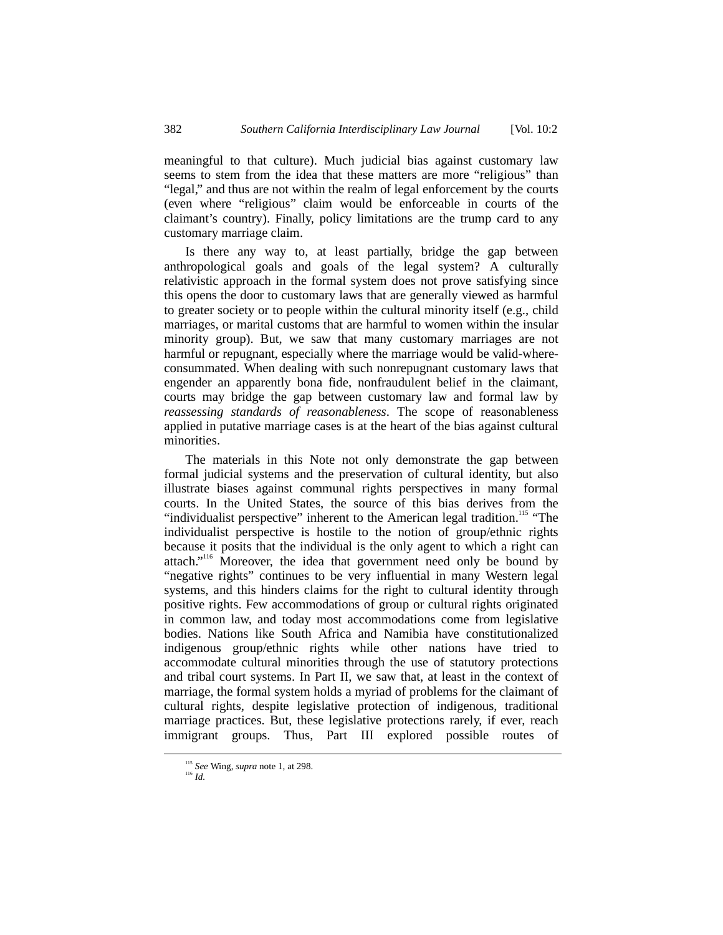meaningful to that culture). Much judicial bias against customary law seems to stem from the idea that these matters are more "religious" than "legal," and thus are not within the realm of legal enforcement by the courts (even where "religious" claim would be enforceable in courts of the claimant's country). Finally, policy limitations are the trump card to any customary marriage claim.

Is there any way to, at least partially, bridge the gap between anthropological goals and goals of the legal system? A culturally relativistic approach in the formal system does not prove satisfying since this opens the door to customary laws that are generally viewed as harmful to greater society or to people within the cultural minority itself (e.g., child marriages, or marital customs that are harmful to women within the insular minority group). But, we saw that many customary marriages are not harmful or repugnant, especially where the marriage would be valid-whereconsummated. When dealing with such nonrepugnant customary laws that engender an apparently bona fide, nonfraudulent belief in the claimant, courts may bridge the gap between customary law and formal law by *reassessing standards of reasonableness*. The scope of reasonableness applied in putative marriage cases is at the heart of the bias against cultural minorities.

The materials in this Note not only demonstrate the gap between formal judicial systems and the preservation of cultural identity, but also illustrate biases against communal rights perspectives in many formal courts. In the United States, the source of this bias derives from the "individualist perspective" inherent to the American legal tradition.<sup>115</sup> "The individualist perspective is hostile to the notion of group/ethnic rights because it posits that the individual is the only agent to which a right can attach."<sup>116</sup> Moreover, the idea that government need only be bound by "negative rights" continues to be very influential in many Western legal systems, and this hinders claims for the right to cultural identity through positive rights. Few accommodations of group or cultural rights originated in common law, and today most accommodations come from legislative bodies. Nations like South Africa and Namibia have constitutionalized indigenous group/ethnic rights while other nations have tried to accommodate cultural minorities through the use of statutory protections and tribal court systems. In Part II, we saw that, at least in the context of marriage, the formal system holds a myriad of problems for the claimant of cultural rights, despite legislative protection of indigenous, traditional marriage practices. But, these legislative protections rarely, if ever, reach immigrant groups. Thus, Part III explored possible routes of

<sup>115</sup> *See* Wing, *supra* note 1, at 298. <sup>116</sup> *Id.*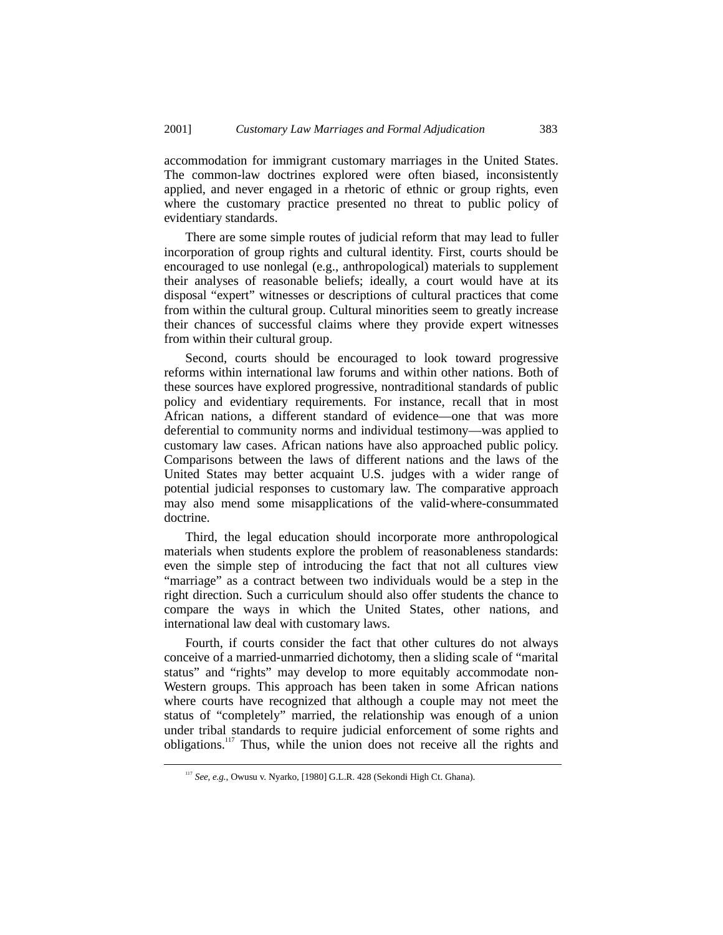accommodation for immigrant customary marriages in the United States. The common-law doctrines explored were often biased, inconsistently applied, and never engaged in a rhetoric of ethnic or group rights, even where the customary practice presented no threat to public policy of evidentiary standards.

There are some simple routes of judicial reform that may lead to fuller incorporation of group rights and cultural identity. First, courts should be encouraged to use nonlegal (e.g., anthropological) materials to supplement their analyses of reasonable beliefs; ideally, a court would have at its disposal "expert" witnesses or descriptions of cultural practices that come from within the cultural group. Cultural minorities seem to greatly increase their chances of successful claims where they provide expert witnesses from within their cultural group.

Second, courts should be encouraged to look toward progressive reforms within international law forums and within other nations. Both of these sources have explored progressive, nontraditional standards of public policy and evidentiary requirements. For instance, recall that in most African nations, a different standard of evidence—one that was more deferential to community norms and individual testimony—was applied to customary law cases. African nations have also approached public policy. Comparisons between the laws of different nations and the laws of the United States may better acquaint U.S. judges with a wider range of potential judicial responses to customary law. The comparative approach may also mend some misapplications of the valid-where-consummated doctrine.

Third, the legal education should incorporate more anthropological materials when students explore the problem of reasonableness standards: even the simple step of introducing the fact that not all cultures view "marriage" as a contract between two individuals would be a step in the right direction. Such a curriculum should also offer students the chance to compare the ways in which the United States, other nations, and international law deal with customary laws.

Fourth, if courts consider the fact that other cultures do not always conceive of a married-unmarried dichotomy, then a sliding scale of "marital status" and "rights" may develop to more equitably accommodate non-Western groups. This approach has been taken in some African nations where courts have recognized that although a couple may not meet the status of "completely" married, the relationship was enough of a union under tribal standards to require judicial enforcement of some rights and obligations.117 Thus, while the union does not receive all the rights and

 <sup>117</sup> *See, e.g.*, Owusu v. Nyarko, [1980] G.L.R. 428 (Sekondi High Ct. Ghana).